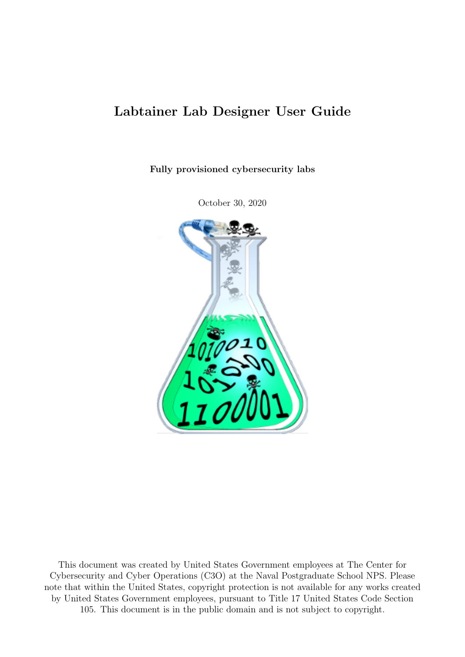# Labtainer Lab Designer User Guide

Fully provisioned cybersecurity labs

October 30, 2020



This document was created by United States Government employees at The Center for Cybersecurity and Cyber Operations (C3O) at the Naval Postgraduate School NPS. Please note that within the United States, copyright protection is not available for any works created by United States Government employees, pursuant to Title 17 United States Code Section 105. This document is in the public domain and is not subject to copyright.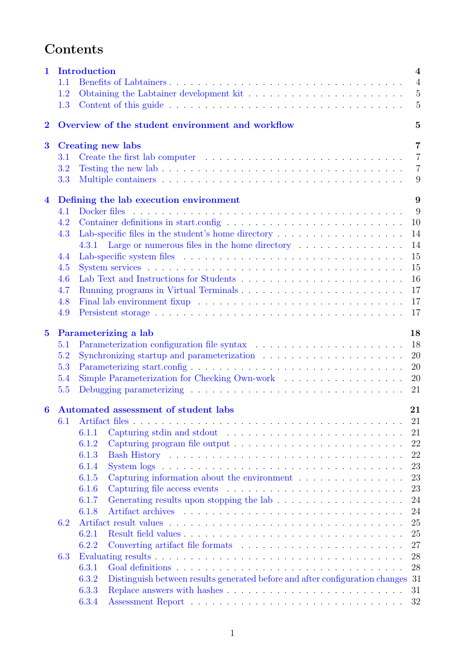# Contents

| $\mathbf{1}$                                                       | <b>Introduction</b><br>4                   |                                                                                                                   |  |  |  |  |  |  |
|--------------------------------------------------------------------|--------------------------------------------|-------------------------------------------------------------------------------------------------------------------|--|--|--|--|--|--|
|                                                                    | 1.1                                        | $\overline{4}$                                                                                                    |  |  |  |  |  |  |
|                                                                    | 1.2                                        | Obtaining the Labtainer development kit $\dots \dots \dots \dots \dots \dots \dots \dots \dots$<br>$\overline{5}$ |  |  |  |  |  |  |
|                                                                    | 1.3                                        | $\overline{5}$                                                                                                    |  |  |  |  |  |  |
| Overview of the student environment and workflow<br>$\overline{2}$ |                                            |                                                                                                                   |  |  |  |  |  |  |
| $\bf{3}$                                                           | $\overline{7}$<br><b>Creating new labs</b> |                                                                                                                   |  |  |  |  |  |  |
|                                                                    | 3.1                                        | $\overline{7}$                                                                                                    |  |  |  |  |  |  |
|                                                                    | 3.2                                        | $\overline{7}$                                                                                                    |  |  |  |  |  |  |
|                                                                    | 3.3                                        | 9                                                                                                                 |  |  |  |  |  |  |
| $\overline{\mathbf{4}}$                                            |                                            | 9<br>Defining the lab execution environment                                                                       |  |  |  |  |  |  |
|                                                                    | 4.1                                        | 9<br>Docker files                                                                                                 |  |  |  |  |  |  |
|                                                                    | 4.2                                        | 10                                                                                                                |  |  |  |  |  |  |
|                                                                    | 4.3                                        | 14<br>Lab-specific files in the student's home directory $\dots \dots \dots \dots \dots \dots \dots$              |  |  |  |  |  |  |
|                                                                    |                                            | Large or numerous files in the home directory $\dots \dots \dots \dots \dots$<br>14<br>4.3.1                      |  |  |  |  |  |  |
|                                                                    | 4.4                                        | 15                                                                                                                |  |  |  |  |  |  |
|                                                                    | 4.5                                        | 15                                                                                                                |  |  |  |  |  |  |
|                                                                    | 4.6                                        | 16                                                                                                                |  |  |  |  |  |  |
|                                                                    | 4.7                                        | 17                                                                                                                |  |  |  |  |  |  |
|                                                                    | 4.8                                        | 17                                                                                                                |  |  |  |  |  |  |
|                                                                    | 4.9                                        | 17                                                                                                                |  |  |  |  |  |  |
|                                                                    |                                            |                                                                                                                   |  |  |  |  |  |  |
| $\bf{5}$                                                           |                                            | Parameterizing a lab<br>18                                                                                        |  |  |  |  |  |  |
|                                                                    | 5.1                                        | 18                                                                                                                |  |  |  |  |  |  |
|                                                                    | 5.2                                        | 20                                                                                                                |  |  |  |  |  |  |
|                                                                    | 5.3                                        | 20                                                                                                                |  |  |  |  |  |  |
|                                                                    | 5.4                                        | 20                                                                                                                |  |  |  |  |  |  |
|                                                                    | 5.5                                        | 21                                                                                                                |  |  |  |  |  |  |
| 6                                                                  |                                            | Automated assessment of student labs<br>21                                                                        |  |  |  |  |  |  |
|                                                                    | 6.1                                        | 21                                                                                                                |  |  |  |  |  |  |
|                                                                    |                                            | 21<br>6.1.1                                                                                                       |  |  |  |  |  |  |
|                                                                    |                                            | 22<br>6.1.2                                                                                                       |  |  |  |  |  |  |
|                                                                    |                                            | 22<br>6.1.3                                                                                                       |  |  |  |  |  |  |
|                                                                    |                                            | 23<br>6.1.4                                                                                                       |  |  |  |  |  |  |
|                                                                    |                                            | 23<br>Capturing information about the environment $\ldots \ldots \ldots \ldots$<br>6.1.5                          |  |  |  |  |  |  |
|                                                                    |                                            | 23<br>6.1.6                                                                                                       |  |  |  |  |  |  |
|                                                                    |                                            | 24<br>6.1.7                                                                                                       |  |  |  |  |  |  |
|                                                                    |                                            | 24<br>6.1.8                                                                                                       |  |  |  |  |  |  |
|                                                                    | 6.2                                        | 25                                                                                                                |  |  |  |  |  |  |
|                                                                    |                                            | 25<br>6.2.1                                                                                                       |  |  |  |  |  |  |
|                                                                    |                                            | Converting artifact file formats $\dots \dots \dots \dots \dots \dots \dots \dots \dots$<br>27<br>6.2.2           |  |  |  |  |  |  |
|                                                                    | 6.3                                        | 28                                                                                                                |  |  |  |  |  |  |
|                                                                    |                                            | 28<br>6.3.1                                                                                                       |  |  |  |  |  |  |
|                                                                    |                                            | 6.3.2<br>Distinguish between results generated before and after configuration changes<br>31                       |  |  |  |  |  |  |
|                                                                    |                                            | 6.3.3<br>31                                                                                                       |  |  |  |  |  |  |
|                                                                    |                                            | 6.3.4<br>32                                                                                                       |  |  |  |  |  |  |
|                                                                    |                                            |                                                                                                                   |  |  |  |  |  |  |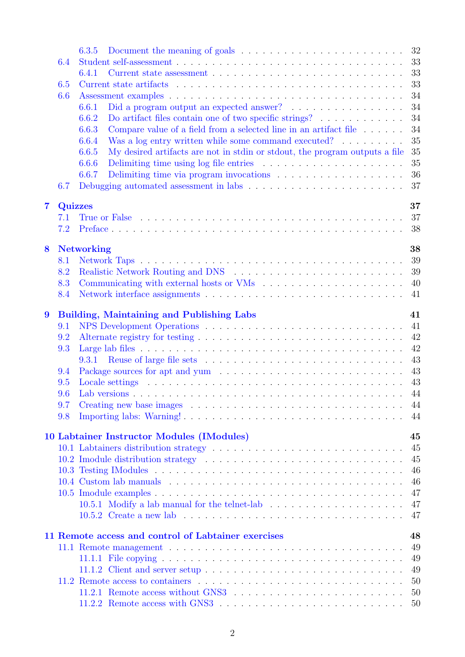|                |                | 32<br>6.3.5                                                                                                                                                                                                                          |
|----------------|----------------|--------------------------------------------------------------------------------------------------------------------------------------------------------------------------------------------------------------------------------------|
|                | 6.4            | 33                                                                                                                                                                                                                                   |
|                |                | 33<br>6.4.1                                                                                                                                                                                                                          |
|                | 6.5            | 33                                                                                                                                                                                                                                   |
|                | 6.6            | 34                                                                                                                                                                                                                                   |
|                |                | 34<br>6.6.1                                                                                                                                                                                                                          |
|                |                | 34<br>6.6.2                                                                                                                                                                                                                          |
|                |                | 34<br>Compare value of a field from a selected line in an artifact file $\dots \dots$<br>6.6.3                                                                                                                                       |
|                |                | 35<br>Was a log entry written while some command executed? $\ldots \ldots \ldots$<br>6.6.4                                                                                                                                           |
|                |                | 35<br>6.6.5<br>My desired artifacts are not in stdin or stdout, the program outputs a file                                                                                                                                           |
|                |                | 35<br>6.6.6                                                                                                                                                                                                                          |
|                |                | 36<br>6.6.7                                                                                                                                                                                                                          |
|                | 6.7            | 37                                                                                                                                                                                                                                   |
|                |                |                                                                                                                                                                                                                                      |
| $\overline{7}$ | <b>Quizzes</b> | 37                                                                                                                                                                                                                                   |
|                | 7.1            | 37                                                                                                                                                                                                                                   |
|                | 7.2            | 38                                                                                                                                                                                                                                   |
|                |                |                                                                                                                                                                                                                                      |
| 8              |                | 38<br><b>Networking</b>                                                                                                                                                                                                              |
|                | 8.1            | 39                                                                                                                                                                                                                                   |
|                | 8.2            | 39                                                                                                                                                                                                                                   |
|                | 8.3            | 40                                                                                                                                                                                                                                   |
|                | 8.4            | 41                                                                                                                                                                                                                                   |
|                |                |                                                                                                                                                                                                                                      |
| 9              |                | <b>Building, Maintaining and Publishing Labs</b><br>41                                                                                                                                                                               |
|                | 9.1            | 41                                                                                                                                                                                                                                   |
|                | 9.2            | 42                                                                                                                                                                                                                                   |
|                | 9.3            | 42                                                                                                                                                                                                                                   |
|                |                | 43<br>9.3.1                                                                                                                                                                                                                          |
|                | 9.4            | 43                                                                                                                                                                                                                                   |
|                | 9.5            | 43                                                                                                                                                                                                                                   |
|                | 9.6            | 44                                                                                                                                                                                                                                   |
|                | 9.7            | -44                                                                                                                                                                                                                                  |
|                | 9.8            | 44                                                                                                                                                                                                                                   |
|                |                |                                                                                                                                                                                                                                      |
|                |                | 10 Labtainer Instructor Modules (IModules)<br>45                                                                                                                                                                                     |
|                |                | 45                                                                                                                                                                                                                                   |
|                |                | 45<br>10.2 Imodule distribution strategy entertainment of the state of the strategy of the strategy and the strategy of the strategy and the strategy of the strategy and the strategy of the strategy and strategy and strategy and |
|                |                | 46                                                                                                                                                                                                                                   |
|                |                | 46                                                                                                                                                                                                                                   |
|                |                | 47                                                                                                                                                                                                                                   |
|                |                | 47                                                                                                                                                                                                                                   |
|                |                | 47                                                                                                                                                                                                                                   |
|                |                |                                                                                                                                                                                                                                      |
|                |                | 11 Remote access and control of Labtainer exercises<br>48                                                                                                                                                                            |
|                |                | 49                                                                                                                                                                                                                                   |
|                |                | 49                                                                                                                                                                                                                                   |
|                |                | 49                                                                                                                                                                                                                                   |
|                |                | 50                                                                                                                                                                                                                                   |
|                |                | 50                                                                                                                                                                                                                                   |
|                |                | 50                                                                                                                                                                                                                                   |
|                |                |                                                                                                                                                                                                                                      |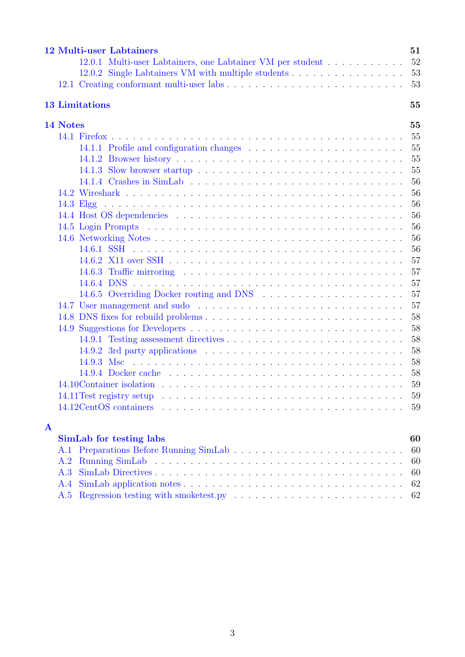|             | <b>12 Multi-user Labtainers</b>                            | 51 |  |  |  |  |
|-------------|------------------------------------------------------------|----|--|--|--|--|
|             | 12.0.1 Multi-user Labtainers, one Labtainer VM per student | 52 |  |  |  |  |
|             | 12.0.2 Single Labtainers VM with multiple students         | 53 |  |  |  |  |
|             |                                                            | 53 |  |  |  |  |
|             | <b>13 Limitations</b>                                      |    |  |  |  |  |
|             | 14 Notes                                                   | 55 |  |  |  |  |
|             |                                                            | 55 |  |  |  |  |
|             |                                                            | 55 |  |  |  |  |
|             |                                                            | 55 |  |  |  |  |
|             |                                                            | 55 |  |  |  |  |
|             |                                                            | 56 |  |  |  |  |
|             |                                                            | 56 |  |  |  |  |
|             |                                                            | 56 |  |  |  |  |
|             |                                                            | 56 |  |  |  |  |
|             |                                                            | 56 |  |  |  |  |
|             |                                                            | 56 |  |  |  |  |
|             |                                                            | 56 |  |  |  |  |
|             |                                                            | 57 |  |  |  |  |
|             |                                                            | 57 |  |  |  |  |
|             |                                                            | 57 |  |  |  |  |
|             |                                                            | 57 |  |  |  |  |
|             |                                                            | 57 |  |  |  |  |
|             |                                                            | 58 |  |  |  |  |
|             |                                                            | 58 |  |  |  |  |
|             |                                                            | 58 |  |  |  |  |
|             |                                                            | 58 |  |  |  |  |
|             |                                                            | 58 |  |  |  |  |
|             |                                                            | 58 |  |  |  |  |
|             |                                                            | 59 |  |  |  |  |
|             |                                                            | 59 |  |  |  |  |
|             |                                                            | 59 |  |  |  |  |
| $\mathbf A$ |                                                            |    |  |  |  |  |
|             | <b>SimLab</b> for testing labs                             | 60 |  |  |  |  |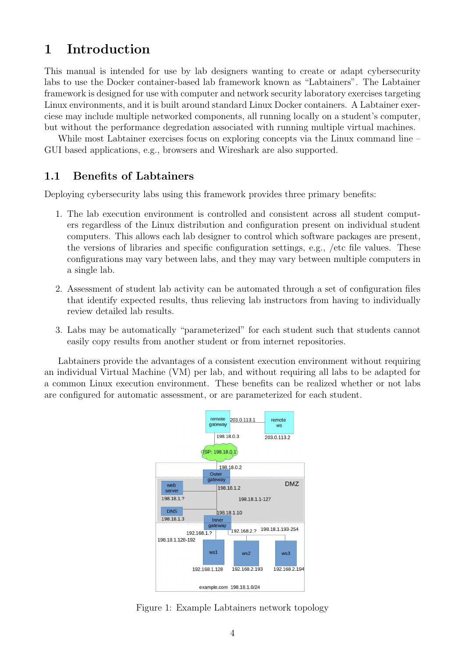# <span id="page-4-0"></span>1 Introduction

This manual is intended for use by lab designers wanting to create or adapt cybersecurity labs to use the Docker container-based lab framework known as "Labtainers". The Labtainer framework is designed for use with computer and network security laboratory exercises targeting Linux environments, and it is built around standard Linux Docker containers. A Labtainer exerciese may include multiple networked components, all running locally on a student's computer, but without the performance degredation associated with running multiple virtual machines.

While most Labtainer exercises focus on exploring concepts via the Linux command line – GUI based applications, e.g., browsers and Wireshark are also supported.

## <span id="page-4-1"></span>1.1 Benefits of Labtainers

Deploying cybersecurity labs using this framework provides three primary benefits:

- 1. The lab execution environment is controlled and consistent across all student computers regardless of the Linux distribution and configuration present on individual student computers. This allows each lab designer to control which software packages are present, the versions of libraries and specific configuration settings, e.g., /etc file values. These configurations may vary between labs, and they may vary between multiple computers in a single lab.
- 2. Assessment of student lab activity can be automated through a set of configuration files that identify expected results, thus relieving lab instructors from having to individually review detailed lab results.
- 3. Labs may be automatically "parameterized" for each student such that students cannot easily copy results from another student or from internet repositories.

Labtainers provide the advantages of a consistent execution environment without requiring an individual Virtual Machine (VM) per lab, and without requiring all labs to be adapted for a common Linux execution environment. These benefits can be realized whether or not labs are configured for automatic assessment, or are parameterized for each student.



<span id="page-4-2"></span>Figure 1: Example Labtainers network topology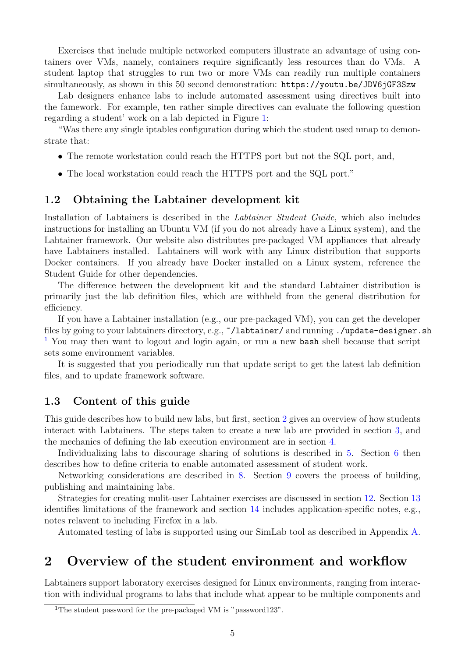Exercises that include multiple networked computers illustrate an advantage of using containers over VMs, namely, containers require significantly less resources than do VMs. A student laptop that struggles to run two or more VMs can readily run multiple containers simultaneously, as shown in this 50 second demonstration: <https://youtu.be/JDV6jGF3Szw>

Lab designers enhance labs to include automated assessment using directives built into the famework. For example, ten rather simple directives can evaluate the following question regarding a student' work on a lab depicted in Figure [1:](#page-4-2)

"Was there any single iptables configuration during which the student used nmap to demonstrate that:

- The remote workstation could reach the HTTPS port but not the SQL port, and,
- The local workstation could reach the HTTPS port and the SQL port."

### <span id="page-5-0"></span>1.2 Obtaining the Labtainer development kit

Installation of Labtainers is described in the Labtainer Student Guide, which also includes instructions for installing an Ubuntu VM (if you do not already have a Linux system), and the Labtainer framework. Our website also distributes pre-packaged VM appliances that already have Labtainers installed. Labtainers will work with any Linux distribution that supports Docker containers. If you already have Docker installed on a Linux system, reference the Student Guide for other dependencies.

The difference between the development kit and the standard Labtainer distribution is primarily just the lab definition files, which are withheld from the general distribution for efficiency.

If you have a Labtainer installation (e.g., our pre-packaged VM), you can get the developer files by going to your labtainers directory, e.g., ~/labtainer/ and running ./update-designer.sh [1](#page-5-3) You may then want to logout and login again, or run a new bash shell because that script sets some environment variables.

It is suggested that you periodically run that update script to get the latest lab definition files, and to update framework software.

### <span id="page-5-1"></span>1.3 Content of this guide

This guide describes how to build new labs, but first, section [2](#page-5-2) gives an overview of how students interact with Labtainers. The steps taken to create a new lab are provided in section [3,](#page-7-0) and the mechanics of defining the lab execution environment are in section [4.](#page-9-1)

Individualizing labs to discourage sharing of solutions is described in [5.](#page-18-0) Section [6](#page-21-1) then describes how to define criteria to enable automated assessment of student work.

Networking considerations are described in [8.](#page-38-1) Section [9](#page-41-1) covers the process of building, publishing and maintaining labs.

Strategies for creating mulit-user Labtainer exercises are discussed in section [12.](#page-51-0) Section [13](#page-55-0) identifies limitations of the framework and section [14](#page-55-1) includes application-specific notes, e.g., notes relavent to including Firefox in a lab.

Automated testing of labs is supported using our SimLab tool as described in Appendix [A.](#page-60-0)

# <span id="page-5-2"></span>2 Overview of the student environment and workflow

Labtainers support laboratory exercises designed for Linux environments, ranging from interaction with individual programs to labs that include what appear to be multiple components and

<span id="page-5-3"></span><sup>&</sup>lt;sup>1</sup>The student password for the pre-packaged VM is "password123".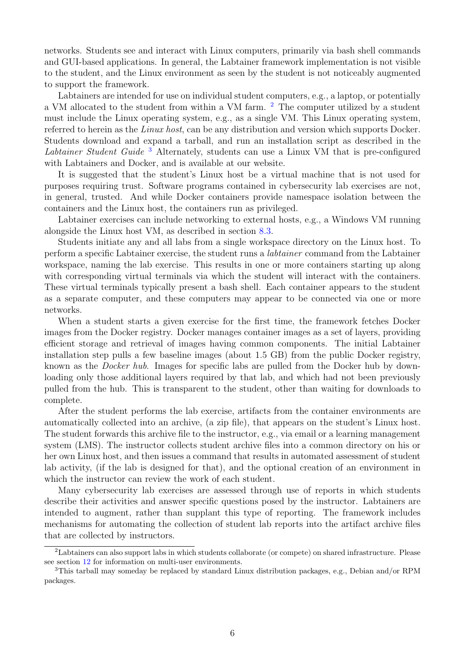networks. Students see and interact with Linux computers, primarily via bash shell commands and GUI-based applications. In general, the Labtainer framework implementation is not visible to the student, and the Linux environment as seen by the student is not noticeably augmented to support the framework.

Labtainers are intended for use on individual student computers, e.g., a laptop, or potentially a VM allocated to the student from within a VM farm. <sup>[2](#page-6-0)</sup> The computer utilized by a student must include the Linux operating system, e.g., as a single VM. This Linux operating system, referred to herein as the Linux host, can be any distribution and version which supports Docker. Students download and expand a tarball, and run an installation script as described in the Labtainer Student Guide<sup>[3](#page-6-1)</sup> Alternately, students can use a Linux VM that is pre-configured with Labtainers and Docker, and is available at our website.

It is suggested that the student's Linux host be a virtual machine that is not used for purposes requiring trust. Software programs contained in cybersecurity lab exercises are not, in general, trusted. And while Docker containers provide namespace isolation between the containers and the Linux host, the containers run as privileged.

Labtainer exercises can include networking to external hosts, e.g., a Windows VM running alongside the Linux host VM, as described in section [8.3.](#page-40-0)

Students initiate any and all labs from a single workspace directory on the Linux host. To perform a specific Labtainer exercise, the student runs a labtainer command from the Labtainer workspace, naming the lab exercise. This results in one or more containers starting up along with corresponding virtual terminals via which the student will interact with the containers. These virtual terminals typically present a bash shell. Each container appears to the student as a separate computer, and these computers may appear to be connected via one or more networks.

When a student starts a given exercise for the first time, the framework fetches Docker images from the Docker registry. Docker manages container images as a set of layers, providing efficient storage and retrieval of images having common components. The initial Labtainer installation step pulls a few baseline images (about 1.5 GB) from the public Docker registry, known as the Docker hub. Images for specific labs are pulled from the Docker hub by downloading only those additional layers required by that lab, and which had not been previously pulled from the hub. This is transparent to the student, other than waiting for downloads to complete.

After the student performs the lab exercise, artifacts from the container environments are automatically collected into an archive, (a zip file), that appears on the student's Linux host. The student forwards this archive file to the instructor, e.g., via email or a learning management system (LMS). The instructor collects student archive files into a common directory on his or her own Linux host, and then issues a command that results in automated assessment of student lab activity, (if the lab is designed for that), and the optional creation of an environment in which the instructor can review the work of each student.

Many cybersecurity lab exercises are assessed through use of reports in which students describe their activities and answer specific questions posed by the instructor. Labtainers are intended to augment, rather than supplant this type of reporting. The framework includes mechanisms for automating the collection of student lab reports into the artifact archive files that are collected by instructors.

<span id="page-6-0"></span><sup>2</sup>Labtainers can also support labs in which students collaborate (or compete) on shared infrastructure. Please see section [12](#page-51-0) for information on multi-user environments.

<span id="page-6-1"></span><sup>3</sup>This tarball may someday be replaced by standard Linux distribution packages, e.g., Debian and/or RPM packages.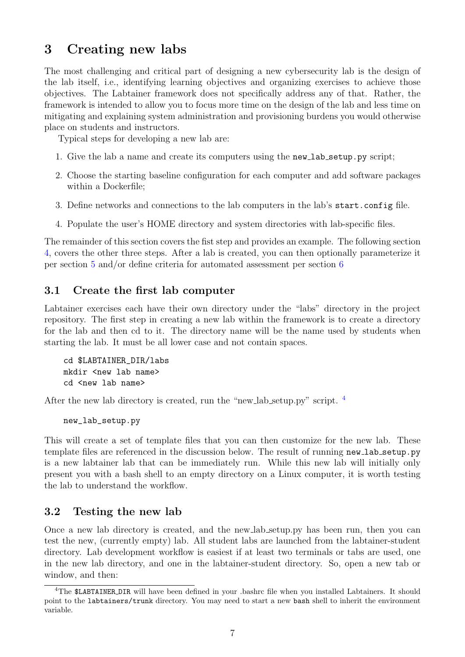# <span id="page-7-0"></span>3 Creating new labs

The most challenging and critical part of designing a new cybersecurity lab is the design of the lab itself, i.e., identifying learning objectives and organizing exercises to achieve those objectives. The Labtainer framework does not specifically address any of that. Rather, the framework is intended to allow you to focus more time on the design of the lab and less time on mitigating and explaining system administration and provisioning burdens you would otherwise place on students and instructors.

Typical steps for developing a new lab are:

- 1. Give the lab a name and create its computers using the new lab setup.py script;
- 2. Choose the starting baseline configuration for each computer and add software packages within a Dockerfile;
- 3. Define networks and connections to the lab computers in the lab's start.config file.
- 4. Populate the user's HOME directory and system directories with lab-specific files.

The remainder of this section covers the fist step and provides an example. The following section [4,](#page-9-1) covers the other three steps. After a lab is created, you can then optionally parameterize it per section [5](#page-18-0) and/or define criteria for automated assessment per section [6](#page-21-1)

## <span id="page-7-1"></span>3.1 Create the first lab computer

Labtainer exercises each have their own directory under the "labs" directory in the project repository. The first step in creating a new lab within the framework is to create a directory for the lab and then cd to it. The directory name will be the name used by students when starting the lab. It must be all lower case and not contain spaces.

```
cd $LABTAINER_DIR/labs
mkdir <new lab name>
cd <new lab name>
```
After the new lab directory is created, run the "new lab setup.py" script. <sup>[4](#page-7-3)</sup>

new\_lab\_setup.py

This will create a set of template files that you can then customize for the new lab. These template files are referenced in the discussion below. The result of running new lab setup.py is a new labtainer lab that can be immediately run. While this new lab will initially only present you with a bash shell to an empty directory on a Linux computer, it is worth testing the lab to understand the workflow.

## <span id="page-7-2"></span>3.2 Testing the new lab

Once a new lab directory is created, and the new lab setup.py has been run, then you can test the new, (currently empty) lab. All student labs are launched from the labtainer-student directory. Lab development workflow is easiest if at least two terminals or tabs are used, one in the new lab directory, and one in the labtainer-student directory. So, open a new tab or window, and then:

<span id="page-7-3"></span><sup>4</sup>The \$LABTAINER DIR will have been defined in your .bashrc file when you installed Labtainers. It should point to the labtainers/trunk directory. You may need to start a new bash shell to inherit the environment variable.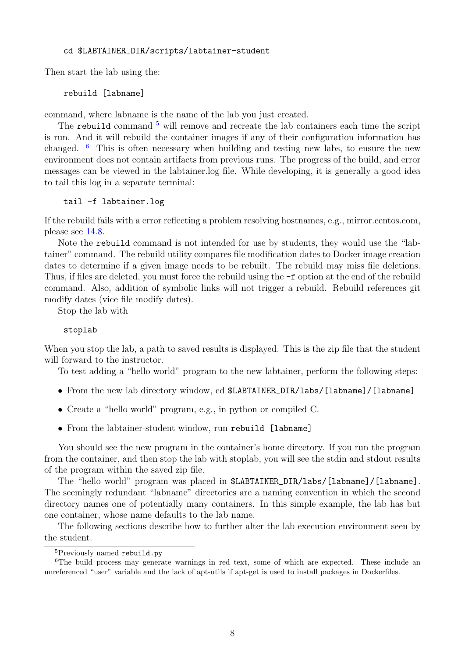#### cd \$LABTAINER\_DIR/scripts/labtainer-student

Then start the lab using the:

rebuild [labname]

command, where labname is the name of the lab you just created.

The rebuild command  $5$  will remove and recreate the lab containers each time the script is run. And it will rebuild the container images if any of their configuration information has changed.  $6$  This is often necessary when building and testing new labs, to ensure the new environment does not contain artifacts from previous runs. The progress of the build, and error messages can be viewed in the labtainer.log file. While developing, it is generally a good idea to tail this log in a separate terminal:

#### tail -f labtainer.log

If the rebuild fails with a error reflecting a problem resolving hostnames, e.g., mirror.centos.com, please see [14.8.](#page-58-0)

Note the rebuild command is not intended for use by students, they would use the "labtainer" command. The rebuild utility compares file modification dates to Docker image creation dates to determine if a given image needs to be rebuilt. The rebuild may miss file deletions. Thus, if files are deleted, you must force the rebuild using the -f option at the end of the rebuild command. Also, addition of symbolic links will not trigger a rebuild. Rebuild references git modify dates (vice file modify dates).

Stop the lab with

#### stoplab

When you stop the lab, a path to saved results is displayed. This is the zip file that the student will forward to the instructor.

To test adding a "hello world" program to the new labtainer, perform the following steps:

- From the new lab directory window, cd \$LABTAINER\_DIR/labs/[labname]/[labname]
- Create a "hello world" program, e.g., in python or compiled C.
- From the labtainer-student window, run rebuild [labname]

You should see the new program in the container's home directory. If you run the program from the container, and then stop the lab with stoplab, you will see the stdin and stdout results of the program within the saved zip file.

The "hello world" program was placed in \$LABTAINER\_DIR/labs/[labname]/[labname]. The seemingly redundant "labname" directories are a naming convention in which the second directory names one of potentially many containers. In this simple example, the lab has but one container, whose name defaults to the lab name.

The following sections describe how to further alter the lab execution environment seen by the student.

<span id="page-8-1"></span><span id="page-8-0"></span><sup>5</sup>Previously named rebuild.py

<sup>&</sup>lt;sup>6</sup>The build process may generate warnings in red text, some of which are expected. These include an unreferenced "user" variable and the lack of apt-utils if apt-get is used to install packages in Dockerfiles.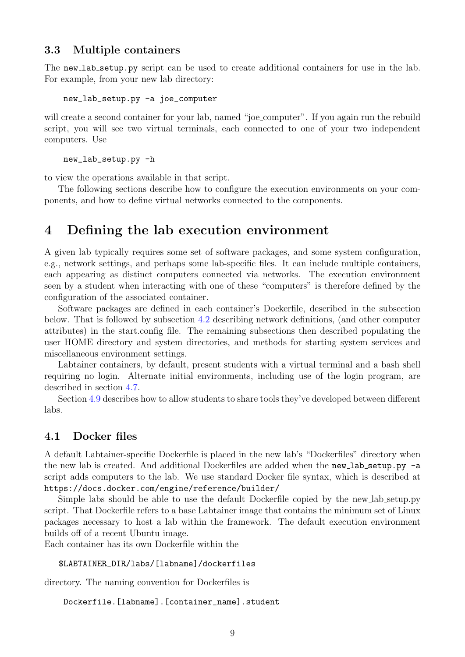### <span id="page-9-0"></span>3.3 Multiple containers

The new lab setup by script can be used to create additional containers for use in the lab. For example, from your new lab directory:

new\_lab\_setup.py -a joe\_computer

will create a second container for your lab, named "joe\_computer". If you again run the rebuild script, you will see two virtual terminals, each connected to one of your two independent computers. Use

new\_lab\_setup.py -h

to view the operations available in that script.

The following sections describe how to configure the execution environments on your components, and how to define virtual networks connected to the components.

# <span id="page-9-1"></span>4 Defining the lab execution environment

A given lab typically requires some set of software packages, and some system configuration, e.g., network settings, and perhaps some lab-specific files. It can include multiple containers, each appearing as distinct computers connected via networks. The execution environment seen by a student when interacting with one of these "computers" is therefore defined by the configuration of the associated container.

Software packages are defined in each container's Dockerfile, described in the subsection below. That is followed by subsection [4.2](#page-10-0) describing network definitions, (and other computer attributes) in the start.config file. The remaining subsections then described populating the user HOME directory and system directories, and methods for starting system services and miscellaneous environment settings.

Labtainer containers, by default, present students with a virtual terminal and a bash shell requiring no login. Alternate initial environments, including use of the login program, are described in section [4.7.](#page-17-0)

Section [4.9](#page-17-2) describes how to allow students to share tools they've developed between different labs.

#### <span id="page-9-2"></span>4.1 Docker files

A default Labtainer-specific Dockerfile is placed in the new lab's "Dockerfiles" directory when the new lab is created. And additional Dockerfiles are added when the new lab setup.py  $-a$ script adds computers to the lab. We use standard Docker file syntax, which is described at <https://docs.docker.com/engine/reference/builder/>

Simple labs should be able to use the default Dockerfile copied by the new lab setup.py script. That Dockerfile refers to a base Labtainer image that contains the minimum set of Linux packages necessary to host a lab within the framework. The default execution environment builds off of a recent Ubuntu image.

Each container has its own Dockerfile within the

```
$LABTAINER_DIR/labs/[labname]/dockerfiles
```
directory. The naming convention for Dockerfiles is

Dockerfile.[labname].[container\_name].student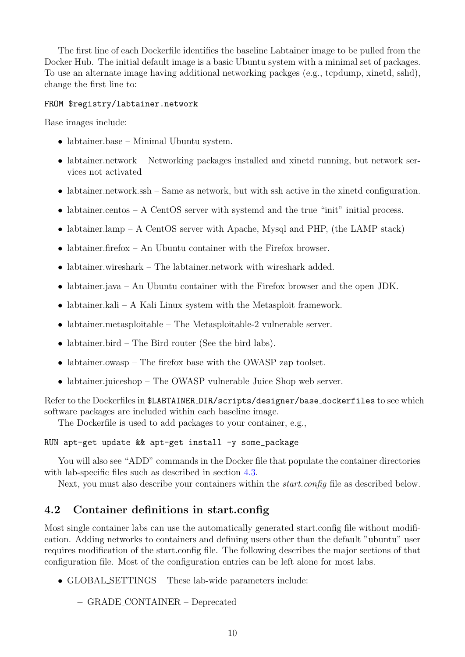The first line of each Dockerfile identifies the baseline Labtainer image to be pulled from the Docker Hub. The initial default image is a basic Ubuntu system with a minimal set of packages. To use an alternate image having additional networking packges (e.g., tcpdump, xinetd, sshd), change the first line to:

#### FROM \$registry/labtainer.network

Base images include:

- labtainer.base Minimal Ubuntu system.
- labtainer.network Networking packages installed and xinetd running, but network services not activated
- labtainer.network.ssh Same as network, but with ssh active in the xinetd configuration.
- labtainer.centos A CentOS server with systemd and the true "init" initial process.
- labtainer.lamp A CentOS server with Apache, Mysql and PHP, (the LAMP stack)
- labtainer.firefox An Ubuntu container with the Firefox browser.
- labtainer.wireshark The labtainer.network with wireshark added.
- labtainer.java An Ubuntu container with the Firefox browser and the open JDK.
- labtainer.kali A Kali Linux system with the Metasploit framework.
- labtainer.metasploitable The Metasploitable-2 vulnerable server.
- labtainer.bird The Bird router (See the bird labs).
- labtainer.owasp The firefox base with the OWASP zap toolset.
- labtainer.juiceshop The OWASP vulnerable Juice Shop web server.

Refer to the Dockerfiles in \$LABTAINER DIR/scripts/designer/base dockerfiles to see which software packages are included within each baseline image.

The Dockerfile is used to add packages to your container, e.g.,

RUN apt-get update && apt-get install -y some\_package

You will also see "ADD" commands in the Docker file that populate the container directories with lab-specific files such as described in section [4.3.](#page-14-0)

Next, you must also describe your containers within the *start.config* file as described below.

## <span id="page-10-0"></span>4.2 Container definitions in start.config

Most single container labs can use the automatically generated start.config file without modification. Adding networks to containers and defining users other than the default "ubuntu" user requires modification of the start.config file. The following describes the major sections of that configuration file. Most of the configuration entries can be left alone for most labs.

- GLOBAL SETTINGS These lab-wide parameters include:
	- GRADE CONTAINER Deprecated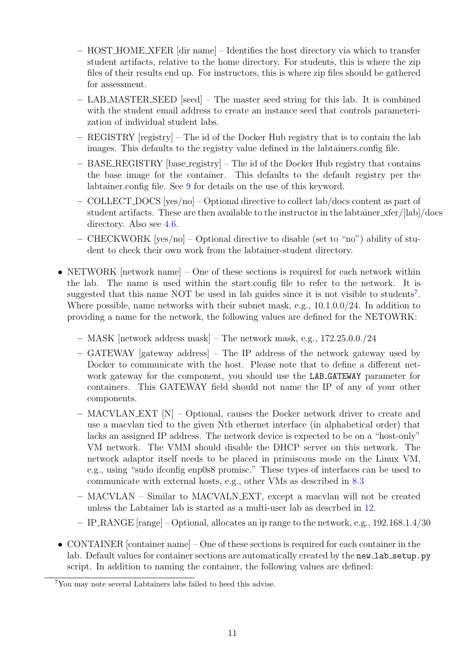- HOST HOME XFER [dir name] Identifies the host directory via which to transfer student artifacts, relative to the home directory. For students, this is where the zip files of their results end up. For instructors, this is where zip files should be gathered for assessment.
- LAB MASTER SEED [seed] The master seed string for this lab. It is combined with the student email address to create an instance seed that controls parameterization of individual student labs.
- REGISTRY [registry] The id of the Docker Hub registry that is to contain the lab images. This defaults to the registry value defined in the labtainers.config file.
- BASE REGISTRY [base registry] The id of the Docker Hub registry that contains the base image for the container. This defaults to the default registry per the labtainer.config file. See [9](#page-41-1) for details on the use of this keyword.
- COLLECT DOCS [yes/no] Optional directive to collect lab/docs content as part of student artifacts. These are then available to the instructor in the labtainer xfer/[lab]/docs directory. Also see [4.6.](#page-16-0)
- CHECKWORK [yes/no] Optional directive to disable (set to "no") ability of student to check their own work from the labtainer-student directory.
- NETWORK [network name] One of these sections is required for each network within the lab. The name is used within the start.config file to refer to the network. It is suggested that this name NOT be used in lab guides since it is not visible to students<sup>[7](#page-11-0)</sup>. Where possible, name networks with their subnet mask, e.g., 10.1.0.0/24. In addition to providing a name for the network, the following values are defined for the NETOWRK:
	- MASK [network address mask] The network mask, e.g., 172.25.0.0./24
	- GATEWAY [gateway address] The IP address of the network gateway used by Docker to communicate with the host. Please note that to define a different network gateway for the component, you should use the LAB GATEWAY parameter for containers. This GATEWAY field should not name the IP of any of your other components.
	- MACVLAN EXT [N] Optional, causes the Docker network driver to create and use a macvlan tied to the given Nth ethernet interface (in alphabetical order) that lacks an assigned IP address. The network device is expected to be on a "host-only" VM network. The VMM should disable the DHCP server on this network. The network adaptor itself needs to be placed in primiscous mode on the Linux VM, e.g., using "sudo ifconfig enp0s8 promisc." These types of interfaces can be used to communicate with external hosts, e.g., other VMs as described in [8.3](#page-40-0)
	- MACVLAN Similar to MACVALN EXT, except a macvlan will not be created unless the Labtainer lab is started as a multi-user lab as descrbed in [12.](#page-51-0)
	- IP RANGE [range] Optional, allocates an ip range to the network, e.g., 192.168.1.4/30
- CONTAINER [container name] One of these sections is required for each container in the lab. Default values for container sections are automatically created by the new lab setup.py script. In addition to naming the container, the following values are defined:

<span id="page-11-0"></span><sup>7</sup>You may note several Labtainers labs failed to heed this advise.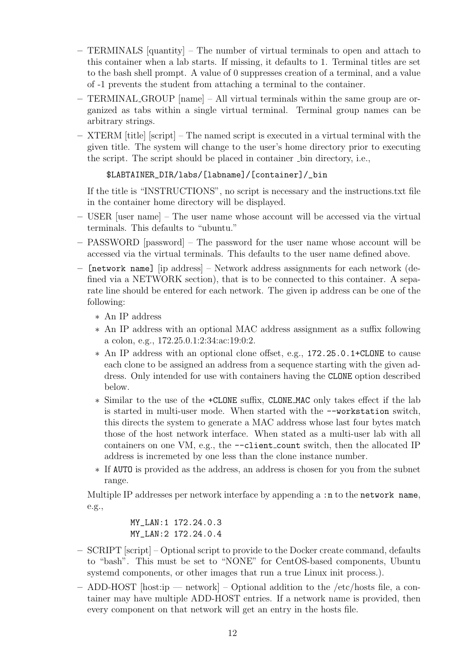- TERMINALS [quantity] The number of virtual terminals to open and attach to this container when a lab starts. If missing, it defaults to 1. Terminal titles are set to the bash shell prompt. A value of 0 suppresses creation of a terminal, and a value of -1 prevents the student from attaching a terminal to the container.
- TERMINAL GROUP [name] All virtual terminals within the same group are organized as tabs within a single virtual terminal. Terminal group names can be arbitrary strings.
- XTERM [title] [script] The named script is executed in a virtual terminal with the given title. The system will change to the user's home directory prior to executing the script. The script should be placed in container  $\Delta$ -bin directory, i.e.,

## \$LABTAINER\_DIR/labs/[labname]/[container]/\_bin

If the title is "INSTRUCTIONS", no script is necessary and the instructions.txt file in the container home directory will be displayed.

- USER [user name] The user name whose account will be accessed via the virtual terminals. This defaults to "ubuntu."
- PASSWORD [password] The password for the user name whose account will be accessed via the virtual terminals. This defaults to the user name defined above.
- [network name] [ip address] Network address assignments for each network (defined via a NETWORK section), that is to be connected to this container. A separate line should be entered for each network. The given ip address can be one of the following:
	- ∗ An IP address
	- ∗ An IP address with an optional MAC address assignment as a suffix following a colon, e.g., 172.25.0.1:2:34:ac:19:0:2.
	- ∗ An IP address with an optional clone offset, e.g., 172.25.0.1+CLONE to cause each clone to be assigned an address from a sequence starting with the given address. Only intended for use with containers having the CLONE option described below.
	- ∗ Similar to the use of the +CLONE suffix, CLONE MAC only takes effect if the lab is started in multi-user mode. When started with the --workstation switch, this directs the system to generate a MAC address whose last four bytes match those of the host network interface. When stated as a multi-user lab with all containers on one VM, e.g., the --client count switch, then the allocated IP address is incremeted by one less than the clone instance number.
	- ∗ If AUTO is provided as the address, an address is chosen for you from the subnet range.

Multiple IP addresses per network interface by appending a :n to the network name, e.g.,

> MY\_LAN:1 172.24.0.3 MY\_LAN:2 172.24.0.4

- SCRIPT [script] Optional script to provide to the Docker create command, defaults to "bash". This must be set to "NONE" for CentOS-based components, Ubuntu systemd components, or other images that run a true Linux init process.).
- ADD-HOST [host:ip network] Optional addition to the /etc/hosts file, a container may have multiple ADD-HOST entries. If a network name is provided, then every component on that network will get an entry in the hosts file.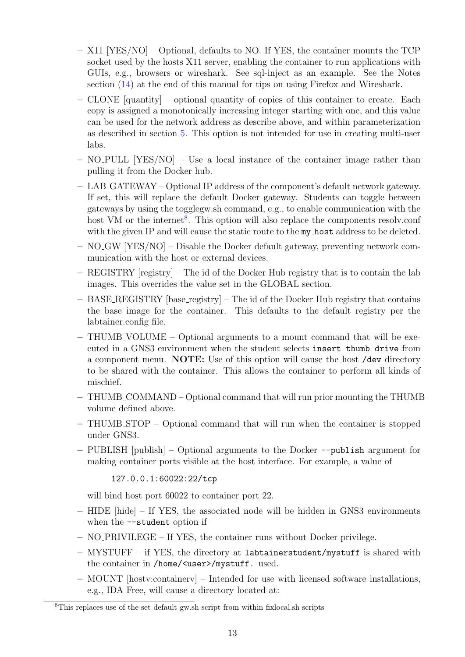- X11 [YES/NO] Optional, defaults to NO. If YES, the container mounts the TCP socket used by the hosts X11 server, enabling the container to run applications with GUIs, e.g., browsers or wireshark. See sql-inject as an example. See the Notes section [\(14\)](#page-55-1) at the end of this manual for tips on using Firefox and Wireshark.
- CLONE [quantity] optional quantity of copies of this container to create. Each copy is assigned a monotonically increasing integer starting with one, and this value can be used for the network address as describe above, and within parameterization as described in section [5.](#page-18-0) This option is not intended for use in creating multi-user labs.
- $-$  NO PULL [YES/NO] Use a local instance of the container image rather than pulling it from the Docker hub.
- LAB GATEWAY Optional IP address of the component's default network gateway. If set, this will replace the default Docker gateway. Students can toggle between gateways by using the togglegw.sh command, e.g., to enable communication with the host VM or the internet<sup>[8](#page-13-0)</sup>. This option will also replace the components resolv.conf with the given IP and will cause the static route to the my host address to be deleted.
- NO GW [YES/NO] Disable the Docker default gateway, preventing network communication with the host or external devices.
- REGISTRY [registry] The id of the Docker Hub registry that is to contain the lab images. This overrides the value set in the GLOBAL section.
- BASE REGISTRY [base registry] The id of the Docker Hub registry that contains the base image for the container. This defaults to the default registry per the labtainer.config file.
- THUMB VOLUME Optional arguments to a mount command that will be executed in a GNS3 environment when the student selects insert thumb drive from a component menu. NOTE: Use of this option will cause the host /dev directory to be shared with the container. This allows the container to perform all kinds of mischief.
- THUMB COMMAND Optional command that will run prior mounting the THUMB volume defined above.
- THUMB STOP Optional command that will run when the container is stopped under GNS3.
- PUBLISH [publish] Optional arguments to the Docker --publish argument for making container ports visible at the host interface. For example, a value of

## 127.0.0.1:60022:22/tcp

will bind host port 60022 to container port 22.

- HIDE [hide] If YES, the associated node will be hidden in GNS3 environments when the  $-$ -student option if
- NO PRIVILEGE If YES, the container runs without Docker privilege.
- MYSTUFF if YES, the directory at labtainerstudent/mystuff is shared with the container in /home/<user>/mystuff. used.
- MOUNT [hostv:containerv] Intended for use with licensed software installations, e.g., IDA Free, will cause a directory located at:

<span id="page-13-0"></span><sup>&</sup>lt;sup>8</sup>This replaces use of the set default gw.sh script from within fixlocal.sh scripts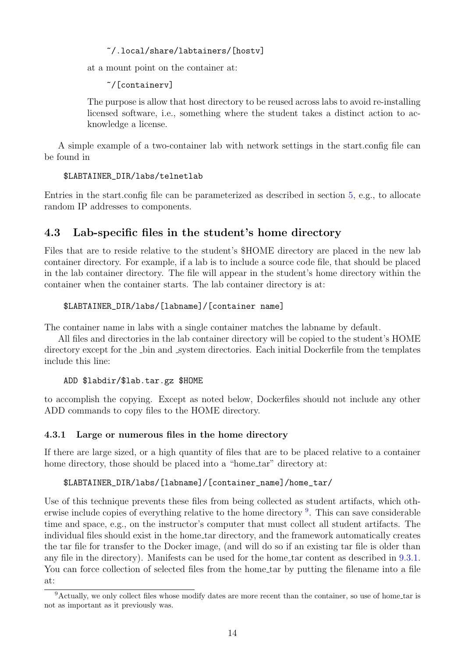~/.local/share/labtainers/[hostv]

at a mount point on the container at:

~/[containerv]

The purpose is allow that host directory to be reused across labs to avoid re-installing licensed software, i.e., something where the student takes a distinct action to acknowledge a license.

A simple example of a two-container lab with network settings in the start.config file can be found in

\$LABTAINER\_DIR/labs/telnetlab

Entries in the start.config file can be parameterized as described in section [5,](#page-18-0) e.g., to allocate random IP addresses to components.

# <span id="page-14-0"></span>4.3 Lab-specific files in the student's home directory

Files that are to reside relative to the student's \$HOME directory are placed in the new lab container directory. For example, if a lab is to include a source code file, that should be placed in the lab container directory. The file will appear in the student's home directory within the container when the container starts. The lab container directory is at:

## \$LABTAINER\_DIR/labs/[labname]/[container name]

The container name in labs with a single container matches the labname by default.

All files and directories in the lab container directory will be copied to the student's HOME directory except for the  $\Delta$ -bin and  $\Delta$ -system directories. Each initial Dockerfile from the templates include this line:

### ADD \$labdir/\$lab.tar.gz \$HOME

to accomplish the copying. Except as noted below, Dockerfiles should not include any other ADD commands to copy files to the HOME directory.

## <span id="page-14-1"></span>4.3.1 Large or numerous files in the home directory

If there are large sized, or a high quantity of files that are to be placed relative to a container home directory, those should be placed into a "home<sub>tar</sub>" directory at:

### \$LABTAINER\_DIR/labs/[labname]/[container\_name]/home\_tar/

Use of this technique prevents these files from being collected as student artifacts, which oth-erwise include copies of everything relative to the home directory <sup>[9](#page-14-2)</sup>. This can save considerable time and space, e.g., on the instructor's computer that must collect all student artifacts. The individual files should exist in the home tar directory, and the framework automatically creates the tar file for transfer to the Docker image, (and will do so if an existing tar file is older than any file in the directory). Manifests can be used for the home tar content as described in [9.3.1.](#page-43-0) You can force collection of selected files from the home tar by putting the filename into a file at:

<span id="page-14-2"></span><sup>9</sup>Actually, we only collect files whose modify dates are more recent than the container, so use of home tar is not as important as it previously was.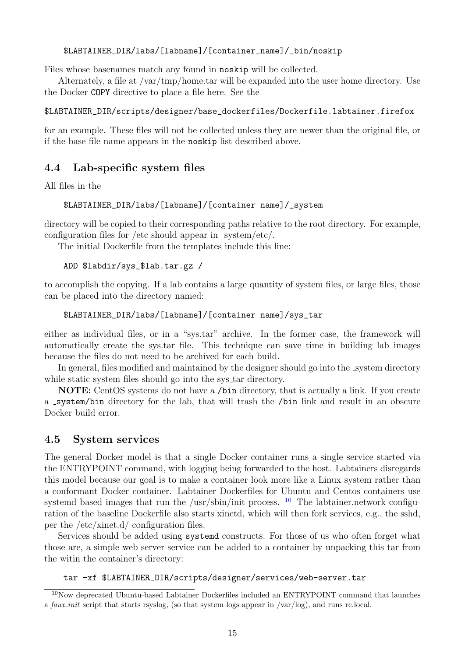### \$LABTAINER\_DIR/labs/[labname]/[container\_name]/\_bin/noskip

Files whose basenames match any found in noskip will be collected.

Alternately, a file at /var/tmp/home.tar will be expanded into the user home directory. Use the Docker COPY directive to place a file here. See the

\$LABTAINER\_DIR/scripts/designer/base\_dockerfiles/Dockerfile.labtainer.firefox

for an example. These files will not be collected unless they are newer than the original file, or if the base file name appears in the noskip list described above.

## <span id="page-15-0"></span>4.4 Lab-specific system files

All files in the

#### \$LABTAINER\_DIR/labs/[labname]/[container name]/\_system

directory will be copied to their corresponding paths relative to the root directory. For example, configuration files for /etc should appear in system/etc/.

The initial Dockerfile from the templates include this line:

#### ADD \$labdir/sys\_\$lab.tar.gz /

to accomplish the copying. If a lab contains a large quantity of system files, or large files, those can be placed into the directory named:

\$LABTAINER\_DIR/labs/[labname]/[container name]/sys\_tar

either as individual files, or in a "sys.tar" archive. In the former case, the framework will automatically create the sys.tar file. This technique can save time in building lab images because the files do not need to be archived for each build.

In general, files modified and maintained by the designer should go into the system directory while static system files should go into the sys<sub>tem</sub> directory.

NOTE: CentOS systems do not have a /bin directory, that is actually a link. If you create a system/bin directory for the lab, that will trash the /bin link and result in an obscure Docker build error.

### <span id="page-15-1"></span>4.5 System services

The general Docker model is that a single Docker container runs a single service started via the ENTRYPOINT command, with logging being forwarded to the host. Labtainers disregards this model because our goal is to make a container look more like a Linux system rather than a conformant Docker container. Labtainer Dockerfiles for Ubuntu and Centos containers use systemd based images that run the /usr/sbin/init process.  $10$  The labtainer.network configuration of the baseline Dockerfile also starts xinetd, which will then fork services, e.g., the sshd, per the /etc/xinet.d/ configuration files.

Services should be added using systemd constructs. For those of us who often forget what those are, a simple web server service can be added to a container by unpacking this tar from the witin the container's directory:

#### tar -xf \$LABTAINER\_DIR/scripts/designer/services/web-server.tar

<span id="page-15-2"></span><sup>10</sup>Now deprecated Ubuntu-based Labtainer Dockerfiles included an ENTRYPOINT command that launches a faux init script that starts rsyslog, (so that system logs appear in /var/log), and runs rc.local.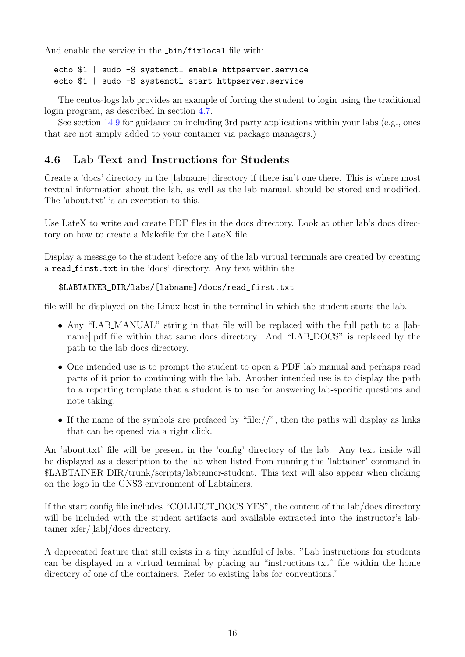And enable the service in the \_bin/fixlocal file with:

echo \$1 | sudo -S systemctl enable httpserver.service echo \$1 | sudo -S systemctl start httpserver.service

The centos-logs lab provides an example of forcing the student to login using the traditional login program, as described in section [4.7.](#page-17-0)

See section [14.9](#page-58-1) for guidance on including 3rd party applications within your labs (e.g., ones that are not simply added to your container via package managers.)

# <span id="page-16-0"></span>4.6 Lab Text and Instructions for Students

Create a 'docs' directory in the [labname] directory if there isn't one there. This is where most textual information about the lab, as well as the lab manual, should be stored and modified. The 'about.txt' is an exception to this.

Use LateX to write and create PDF files in the docs directory. Look at other lab's docs directory on how to create a Makefile for the LateX file.

Display a message to the student before any of the lab virtual terminals are created by creating a read first.txt in the 'docs' directory. Any text within the

```
$LABTAINER_DIR/labs/[labname]/docs/read_first.txt
```
file will be displayed on the Linux host in the terminal in which the student starts the lab.

- Any "LAB MANUAL" string in that file will be replaced with the full path to a [labname].pdf file within that same docs directory. And "LAB DOCS" is replaced by the path to the lab docs directory.
- One intended use is to prompt the student to open a PDF lab manual and perhaps read parts of it prior to continuing with the lab. Another intended use is to display the path to a reporting template that a student is to use for answering lab-specific questions and note taking.
- If the name of the symbols are prefaced by "file://", then the paths will display as links that can be opened via a right click.

An 'about.txt' file will be present in the 'config' directory of the lab. Any text inside will be displayed as a description to the lab when listed from running the 'labtainer' command in \$LABTAINER DIR/trunk/scripts/labtainer-student. This text will also appear when clicking on the logo in the GNS3 environment of Labtainers.

If the start.config file includes "COLLECT DOCS YES", the content of the lab/docs directory will be included with the student artifacts and available extracted into the instructor's labtainer xfer/[lab]/docs directory.

A deprecated feature that still exists in a tiny handful of labs: "Lab instructions for students can be displayed in a virtual terminal by placing an "instructions.txt" file within the home directory of one of the containers. Refer to existing labs for conventions."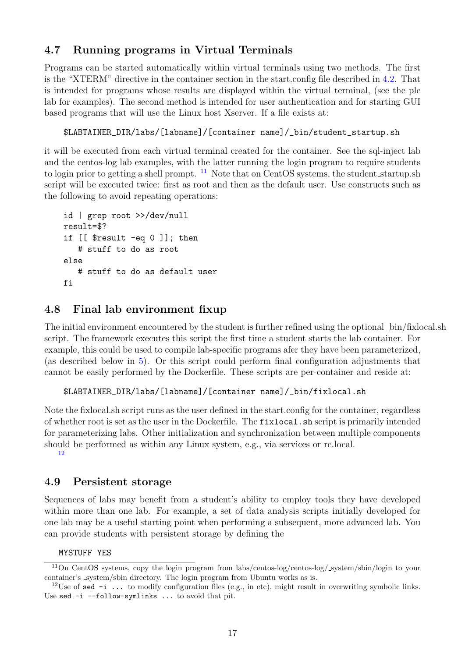# <span id="page-17-0"></span>4.7 Running programs in Virtual Terminals

Programs can be started automatically within virtual terminals using two methods. The first is the "XTERM" directive in the container section in the start.config file described in [4.2.](#page-10-0) That is intended for programs whose results are displayed within the virtual terminal, (see the plc lab for examples). The second method is intended for user authentication and for starting GUI based programs that will use the Linux host Xserver. If a file exists at:

## \$LABTAINER\_DIR/labs/[labname]/[container name]/\_bin/student\_startup.sh

it will be executed from each virtual terminal created for the container. See the sql-inject lab and the centos-log lab examples, with the latter running the login program to require students to login prior to getting a shell prompt.  $^{11}$  $^{11}$  $^{11}$  Note that on CentOS systems, the student startup.sh script will be executed twice: first as root and then as the default user. Use constructs such as the following to avoid repeating operations:

```
id | grep root >>/dev/null
result=$?
if [[ $result -eq 0 ]]; then
   # stuff to do as root
else
   # stuff to do as default user
fi
```
# <span id="page-17-1"></span>4.8 Final lab environment fixup

The initial environment encountered by the student is further refined using the optional  $\Delta$ bin/fixlocal.sh script. The framework executes this script the first time a student starts the lab container. For example, this could be used to compile lab-specific programs afer they have been parameterized, (as described below in [5\)](#page-18-0). Or this script could perform final configuration adjustments that cannot be easily performed by the Dockerfile. These scripts are per-container and reside at:

\$LABTAINER\_DIR/labs/[labname]/[container name]/\_bin/fixlocal.sh

Note the fixlocal.sh script runs as the user defined in the start.config for the container, regardless of whether root is set as the user in the Dockerfile. The fixlocal.sh script is primarily intended for parameterizing labs. Other initialization and synchronization between multiple components should be performed as within any Linux system, e.g., via services or rc.local. [12](#page-17-4)

## <span id="page-17-2"></span>4.9 Persistent storage

Sequences of labs may benefit from a student's ability to employ tools they have developed within more than one lab. For example, a set of data analysis scripts initially developed for one lab may be a useful starting point when performing a subsequent, more advanced lab. You can provide students with persistent storage by defining the

### <span id="page-17-3"></span>MYSTUFF YES

<sup>&</sup>lt;sup>11</sup>On CentOS systems, copy the login program from labs/centos-log/centos-log/\_system/sbin/login to your container's system/sbin directory. The login program from Ubuntu works as is.

<span id="page-17-4"></span><sup>&</sup>lt;sup>12</sup>Use of sed  $-i$ ... to modify configuration files (e.g., in etc), might result in overwriting symbolic links. Use sed -i --follow-symlinks ... to avoid that pit.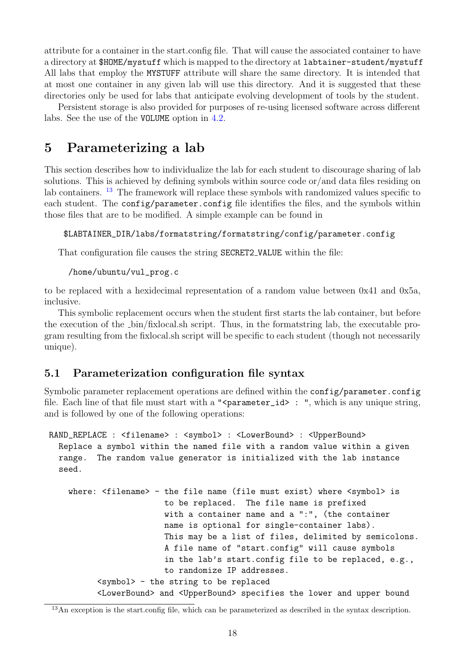attribute for a container in the start.config file. That will cause the associated container to have a directory at \$HOME/mystuff which is mapped to the directory at labtainer-student/mystuff All labs that employ the MYSTUFF attribute will share the same directory. It is intended that at most one container in any given lab will use this directory. And it is suggested that these directories only be used for labs that anticipate evolving development of tools by the student.

Persistent storage is also provided for purposes of re-using licensed software across different labs. See the use of the VOLUME option in [4.2.](#page-10-0)

# <span id="page-18-0"></span>5 Parameterizing a lab

This section describes how to individualize the lab for each student to discourage sharing of lab solutions. This is achieved by defining symbols within source code or/and data files residing on lab containers. <sup>[13](#page-18-2)</sup> The framework will replace these symbols with randomized values specific to each student. The config/parameter.config file identifies the files, and the symbols within those files that are to be modified. A simple example can be found in

#### \$LABTAINER\_DIR/labs/formatstring/formatstring/config/parameter.config

That configuration file causes the string SECRET2 VALUE within the file:

#### /home/ubuntu/vul\_prog.c

to be replaced with a hexidecimal representation of a random value between 0x41 and 0x5a, inclusive.

This symbolic replacement occurs when the student first starts the lab container, but before the execution of the bin/fixlocal.sh script. Thus, in the formatstring lab, the executable program resulting from the fixlocal.sh script will be specific to each student (though not necessarily unique).

## <span id="page-18-1"></span>5.1 Parameterization configuration file syntax

Symbolic parameter replacement operations are defined within the config/parameter.config file. Each line of that file must start with a "<parameter\_id> : ", which is any unique string, and is followed by one of the following operations:

RAND\_REPLACE : <filename> : <symbol> : <LowerBound> : <UpperBound> Replace a symbol within the named file with a random value within a given range. The random value generator is initialized with the lab instance seed.

where: <filename> - the file name (file must exist) where <symbol> is to be replaced. The file name is prefixed with a container name and a ":", (the container name is optional for single-container labs). This may be a list of files, delimited by semicolons. A file name of "start.config" will cause symbols in the lab's start.config file to be replaced, e.g., to randomize IP addresses. <symbol> - the string to be replaced <LowerBound> and <UpperBound> specifies the lower and upper bound

<span id="page-18-2"></span> $\frac{13}{13}$ An exception is the start.config file, which can be parameterized as described in the syntax description.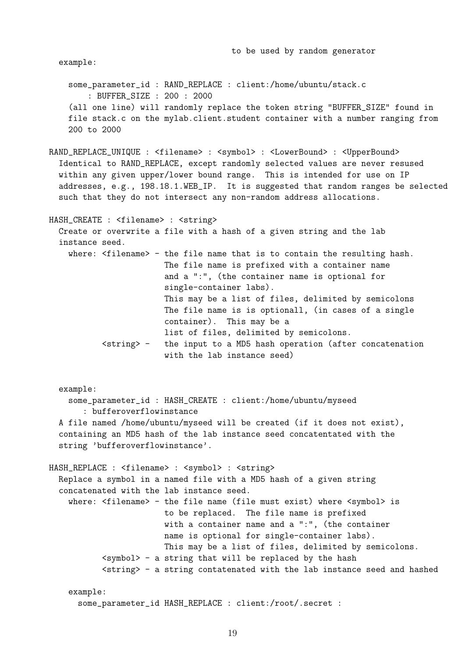example:

some\_parameter\_id : RAND\_REPLACE : client:/home/ubuntu/stack.c : BUFFER\_SIZE : 200 : 2000 (all one line) will randomly replace the token string "BUFFER\_SIZE" found in file stack.c on the mylab.client.student container with a number ranging from 200 to 2000

RAND\_REPLACE\_UNIQUE : <filename> : <symbol> : <LowerBound> : <UpperBound> Identical to RAND\_REPLACE, except randomly selected values are never resused within any given upper/lower bound range. This is intended for use on IP addresses, e.g., 198.18.1.WEB\_IP. It is suggested that random ranges be selected such that they do not intersect any non-random address allocations.

HASH\_CREATE : <filename> : <string> Create or overwrite a file with a hash of a given string and the lab instance seed. where: <filename> - the file name that is to contain the resulting hash. The file name is prefixed with a container name and a ":", (the container name is optional for single-container labs). This may be a list of files, delimited by semicolons The file name is is optionall, (in cases of a single container). This may be a list of files, delimited by semicolons. <string> - the input to a MD5 hash operation (after concatenation with the lab instance seed)

example: some\_parameter\_id : HASH\_CREATE : client:/home/ubuntu/myseed : bufferoverflowinstance A file named /home/ubuntu/myseed will be created (if it does not exist), containing an MD5 hash of the lab instance seed concatentated with the string 'bufferoverflowinstance'.

HASH\_REPLACE : <filename> : <symbol> : <string> Replace a symbol in a named file with a MD5 hash of a given string concatenated with the lab instance seed. where: <filename> - the file name (file must exist) where <symbol> is to be replaced. The file name is prefixed with a container name and a ":", (the container name is optional for single-container labs). This may be a list of files, delimited by semicolons. <symbol> - a string that will be replaced by the hash  $\langle$ string $\rangle$  - a string contatenated with the lab instance seed and hashed

example: some\_parameter\_id HASH\_REPLACE : client:/root/.secret :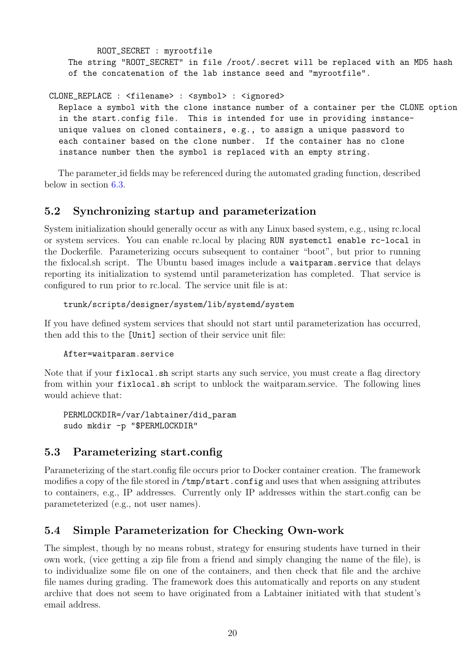ROOT\_SECRET : myrootfile The string "ROOT\_SECRET" in file /root/.secret will be replaced with an MD5 hash of the concatenation of the lab instance seed and "myrootfile".

CLONE\_REPLACE : <filename> : <symbol> : <ignored>

Replace a symbol with the clone instance number of a container per the CLONE option in the start.config file. This is intended for use in providing instanceunique values on cloned containers, e.g., to assign a unique password to each container based on the clone number. If the container has no clone instance number then the symbol is replaced with an empty string.

The parameter id fields may be referenced during the automated grading function, described below in section [6.3.](#page-28-0)

# <span id="page-20-0"></span>5.2 Synchronizing startup and parameterization

System initialization should generally occur as with any Linux based system, e.g., using rc.local or system services. You can enable rc.local by placing RUN systemctl enable rc-local in the Dockerfile. Parameterizing occurs subsequent to container "boot", but prior to running the fixlocal.sh script. The Ubuntu based images include a waitparam.service that delays reporting its initialization to systemd until parameterization has completed. That service is configured to run prior to rc.local. The service unit file is at:

trunk/scripts/designer/system/lib/systemd/system

If you have defined system services that should not start until parameterization has occurred, then add this to the [Unit] section of their service unit file:

After=waitparam.service

Note that if your fixlocal.sh script starts any such service, you must create a flag directory from within your fixlocal.sh script to unblock the waitparam.service. The following lines would achieve that:

PERMLOCKDIR=/var/labtainer/did\_param sudo mkdir -p "\$PERMLOCKDIR"

## <span id="page-20-1"></span>5.3 Parameterizing start.config

Parameterizing of the start.config file occurs prior to Docker container creation. The framework modifies a copy of the file stored in /tmp/start.config and uses that when assigning attributes to containers, e.g., IP addresses. Currently only IP addresses within the start.config can be parameteterized (e.g., not user names).

# <span id="page-20-2"></span>5.4 Simple Parameterization for Checking Own-work

The simplest, though by no means robust, strategy for ensuring students have turned in their own work, (vice getting a zip file from a friend and simply changing the name of the file), is to individualize some file on one of the containers, and then check that file and the archive file names during grading. The framework does this automatically and reports on any student archive that does not seem to have originated from a Labtainer initiated with that student's email address.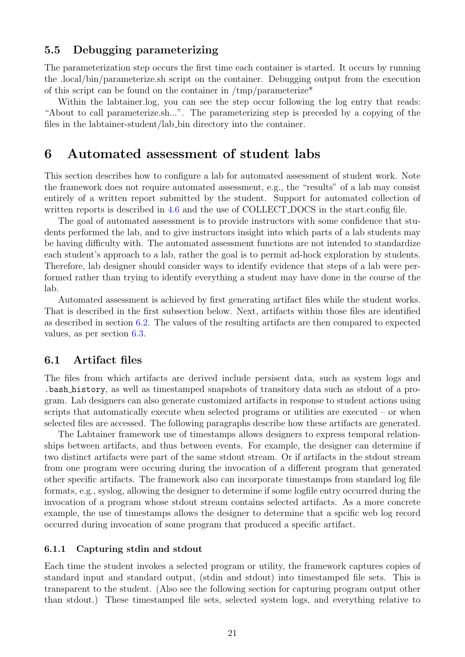### <span id="page-21-0"></span>5.5 Debugging parameterizing

The parameterization step occurs the first time each container is started. It occurs by running the .local/bin/parameterize.sh script on the container. Debugging output from the execution of this script can be found on the container in  $/\text{tmp/parameterize*}$ 

Within the labtainer.log, you can see the step occur following the log entry that reads: "About to call parameterize.sh...". The parameterizing step is preceded by a copying of the files in the labtainer-student/lab bin directory into the container.

# <span id="page-21-1"></span>6 Automated assessment of student labs

This section describes how to configure a lab for automated assessment of student work. Note the framework does not require automated assessment, e.g., the "results" of a lab may consist entirely of a written report submitted by the student. Support for automated collection of written reports is described in [4.6](#page-16-0) and the use of COLLECT\_DOCS in the start.config file.

The goal of automated assessment is to provide instructors with some confidence that students performed the lab, and to give instructors insight into which parts of a lab students may be having difficulty with. The automated assessment functions are not intended to standardize each student's approach to a lab, rather the goal is to permit ad-hock exploration by students. Therefore, lab designer should consider ways to identify evidence that steps of a lab were performed rather than trying to identify everything a student may have done in the course of the lab.

Automated assessment is achieved by first generating artifact files while the student works. That is described in the first subsection below. Next, artifacts within those files are identified as described in section [6.2.](#page-25-0) The values of the resulting artifacts are then compared to expected values, as per section [6.3.](#page-28-0)

## <span id="page-21-2"></span>6.1 Artifact files

The files from which artifacts are derived include persisent data, such as system logs and .bash history, as well as timestamped snapshots of transitory data such as stdout of a program. Lab designers can also generate customized artifacts in response to student actions using scripts that automatically execute when selected programs or utilities are executed – or when selected files are accessed. The following paragraphs describe how these artifacts are generated.

The Labtainer framework use of timestamps allows designers to express temporal relationships between artifacts, and thus between events. For example, the designer can determine if two distinct artifacts were part of the same stdout stream. Or if artifacts in the stdout stream from one program were occuring during the invocation of a different program that generated other specific artifacts. The framework also can incorporate timestamps from standard log file formats, e.g., syslog, allowing the designer to determine if some logfile entry occurred during the invocation of a program whose stdout stream contains selected artifacts. As a more concrete example, the use of timestamps allows the designer to determine that a spcific web log record occurred during invocation of some program that produced a specific artifact.

#### <span id="page-21-3"></span>6.1.1 Capturing stdin and stdout

Each time the student invokes a selected program or utility, the framework captures copies of standard input and standard output, (stdin and stdout) into timestamped file sets. This is transparent to the student. (Also see the following section for capturing program output other than stdout.) These timestamped file sets, selected system logs, and everything relative to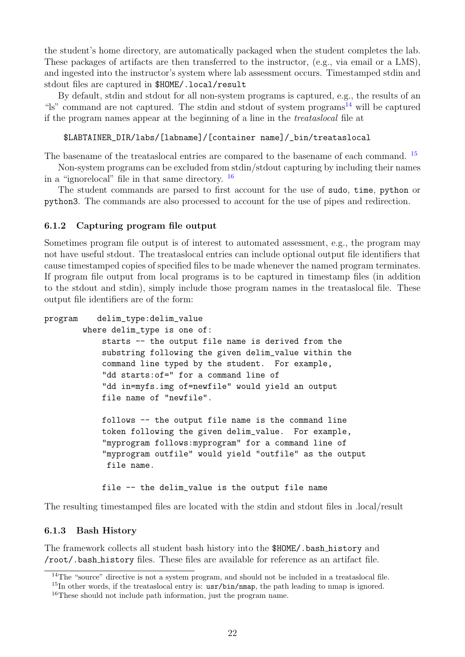the student's home directory, are automatically packaged when the student completes the lab. These packages of artifacts are then transferred to the instructor, (e.g., via email or a LMS), and ingested into the instructor's system where lab assessment occurs. Timestamped stdin and stdout files are captured in \$HOME/.local/result

By default, stdin and stdout for all non-system programs is captured, e.g., the results of an " $\sin$ " command are not captured. The stdin and stdout of system programs<sup>[14](#page-22-2)</sup> will be captured if the program names appear at the beginning of a line in the treataslocal file at

### \$LABTAINER\_DIR/labs/[labname]/[container name]/\_bin/treataslocal

The basename of the treataslocal entries are compared to the basename of each command. <sup>[15](#page-22-3)</sup>

Non-system programs can be excluded from stdin/stdout capturing by including their names in a "ignorelocal" file in that same directory. [16](#page-22-4)

The student commands are parsed to first account for the use of sudo, time, python or python3. The commands are also processed to account for the use of pipes and redirection.

### <span id="page-22-0"></span>6.1.2 Capturing program file output

Sometimes program file output is of interest to automated assessment, e.g., the program may not have useful stdout. The treataslocal entries can include optional output file identifiers that cause timestamped copies of specified files to be made whenever the named program terminates. If program file output from local programs is to be captured in timestamp files (in addition to the stdout and stdin), simply include those program names in the treataslocal file. These output file identifiers are of the form:

```
program delim_type:delim_value
        where delim_type is one of:
            starts -- the output file name is derived from the
            substring following the given delim_value within the
            command line typed by the student. For example,
            "dd starts:of=" for a command line of
            "dd in=myfs.img of=newfile" would yield an output
            file name of "newfile".
            follows -- the output file name is the command line
            token following the given delim_value. For example,
            "myprogram follows:myprogram" for a command line of
            "myprogram outfile" would yield "outfile" as the output
             file name.
            file -- the delim_value is the output file name
```
The resulting timestamped files are located with the stdin and stdout files in .local/result

#### <span id="page-22-1"></span>6.1.3 Bash History

The framework collects all student bash history into the \$HOME/.bash history and /root/.bash history files. These files are available for reference as an artifact file.

<span id="page-22-2"></span><sup>&</sup>lt;sup>14</sup>The "source" directive is not a system program, and should not be included in a treataslocal file.

<span id="page-22-4"></span><span id="page-22-3"></span> $15$ In other words, if the treataslocal entry is:  $usr/bin/mm$ , the path leading to nmap is ignored. <sup>16</sup>These should not include path information, just the program name.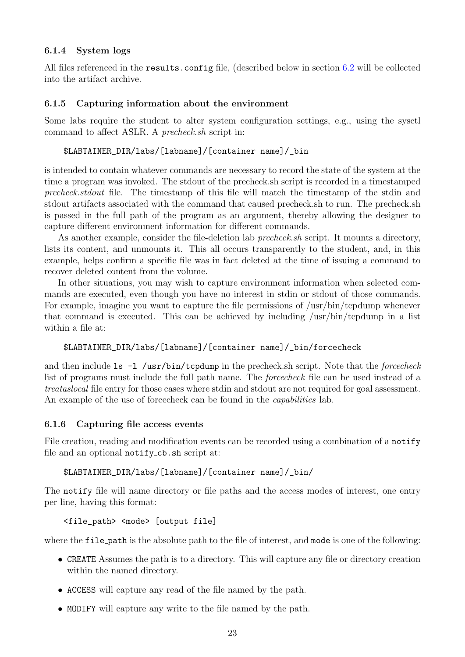### <span id="page-23-0"></span>6.1.4 System logs

All files referenced in the results.config file, (described below in section [6.2](#page-25-0) will be collected into the artifact archive.

## <span id="page-23-1"></span>6.1.5 Capturing information about the environment

Some labs require the student to alter system configuration settings, e.g., using the sysctl command to affect ASLR. A precheck.sh script in:

## \$LABTAINER\_DIR/labs/[labname]/[container name]/\_bin

is intended to contain whatever commands are necessary to record the state of the system at the time a program was invoked. The stdout of the precheck.sh script is recorded in a timestamped precheck.stdout file. The timestamp of this file will match the timestamp of the stdin and stdout artifacts associated with the command that caused precheck.sh to run. The precheck.sh is passed in the full path of the program as an argument, thereby allowing the designer to capture different environment information for different commands.

As another example, consider the file-deletion lab *precheck.sh* script. It mounts a directory, lists its content, and unmounts it. This all occurs transparently to the student, and, in this example, helps confirm a specific file was in fact deleted at the time of issuing a command to recover deleted content from the volume.

In other situations, you may wish to capture environment information when selected commands are executed, even though you have no interest in stdin or stdout of those commands. For example, imagine you want to capture the file permissions of /usr/bin/tcpdump whenever that command is executed. This can be achieved by including /usr/bin/tcpdump in a list within a file at:

## \$LABTAINER\_DIR/labs/[labname]/[container name]/\_bin/forcecheck

and then include  $ls -1$  /usr/bin/tcpdump in the precheck.sh script. Note that the *forcecheck* list of programs must include the full path name. The *forcecheck* file can be used instead of a treataslocal file entry for those cases where stdin and stdout are not required for goal assessment. An example of the use of forcecheck can be found in the *capabilities* lab.

### <span id="page-23-2"></span>6.1.6 Capturing file access events

File creation, reading and modification events can be recorded using a combination of a notify file and an optional notify cb.sh script at:

### \$LABTAINER\_DIR/labs/[labname]/[container name]/\_bin/

The notify file will name directory or file paths and the access modes of interest, one entry per line, having this format:

### <file\_path> <mode> [output file]

where the file path is the absolute path to the file of interest, and mode is one of the following:

- CREATE Assumes the path is to a directory. This will capture any file or directory creation within the named directory.
- ACCESS will capture any read of the file named by the path.
- MODIFY will capture any write to the file named by the path.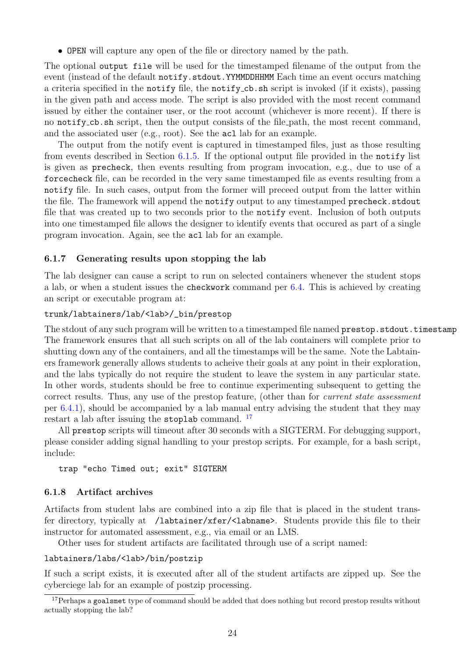• OPEN will capture any open of the file or directory named by the path.

The optional output file will be used for the timestamped filename of the output from the event (instead of the default  $\text{notify.stdout}$ . YYMMDDHHMM Each time an event occurs matching a criteria specified in the notify file, the notify cb.sh script is invoked (if it exists), passing in the given path and access mode. The script is also provided with the most recent command issued by either the container user, or the root account (whichever is more recent). If there is no notify cb.sh script, then the output consists of the file path, the most recent command, and the associated user (e.g., root). See the acl lab for an example.

The output from the notify event is captured in timestamped files, just as those resulting from events described in Section [6.1.5.](#page-23-1) If the optional output file provided in the notify list is given as precheck, then events resulting from program invocation, e.g., due to use of a forcecheck file, can be recorded in the very same timestamped file as events resulting from a notify file. In such cases, output from the former will preceed output from the latter within the file. The framework will append the notify output to any timestamped precheck.stdout file that was created up to two seconds prior to the notify event. Inclusion of both outputs into one timestamped file allows the designer to identify events that occured as part of a single program invocation. Again, see the acl lab for an example.

### <span id="page-24-0"></span>6.1.7 Generating results upon stopping the lab

The lab designer can cause a script to run on selected containers whenever the student stops a lab, or when a student issues the checkwork command per [6.4.](#page-33-0) This is achieved by creating an script or executable program at:

#### trunk/labtainers/lab/<lab>/\_bin/prestop

The stdout of any such program will be written to a timestamped file named prestop.stdout.timestamp The framework ensures that all such scripts on all of the lab containers will complete prior to shutting down any of the containers, and all the timestamps will be the same. Note the Labtainers framework generally allows students to acheive their goals at any point in their exploration, and the labs typically do not require the student to leave the system in any particular state. In other words, students should be free to continue experimenting subsequent to getting the correct results. Thus, any use of the prestop feature, (other than for *current state assessment* per [6.4.1\)](#page-33-1), should be accompanied by a lab manual entry advising the student that they may restart a lab after issuing the stoplab command. <sup>[17](#page-24-2)</sup>

All prestop scripts will timeout after 30 seconds with a SIGTERM. For debugging support, please consider adding signal handling to your prestop scripts. For example, for a bash script, include:

trap "echo Timed out; exit" SIGTERM

#### <span id="page-24-1"></span>6.1.8 Artifact archives

Artifacts from student labs are combined into a zip file that is placed in the student transfer directory, typically at /labtainer/xfer/<labname>. Students provide this file to their instructor for automated assessment, e.g., via email or an LMS.

Other uses for student artifacts are facilitated through use of a script named:

#### labtainers/labs/<lab>/bin/postzip

If such a script exists, it is executed after all of the student artifacts are zipped up. See the cyberciege lab for an example of postzip processing.

<span id="page-24-2"></span><sup>&</sup>lt;sup>17</sup>Perhaps a goalsmet type of command should be added that does nothing but record prestop results without actually stopping the lab?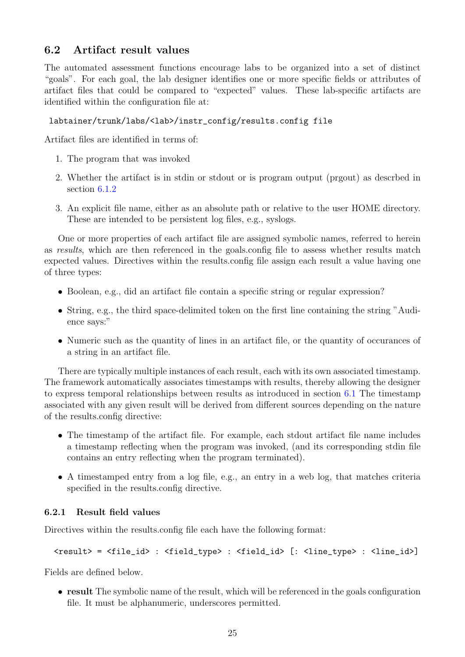# <span id="page-25-0"></span>6.2 Artifact result values

The automated assessment functions encourage labs to be organized into a set of distinct "goals". For each goal, the lab designer identifies one or more specific fields or attributes of artifact files that could be compared to "expected" values. These lab-specific artifacts are identified within the configuration file at:

## labtainer/trunk/labs/<lab>/instr\_config/results.config file

Artifact files are identified in terms of:

- 1. The program that was invoked
- 2. Whether the artifact is in stdin or stdout or is program output (prgout) as descrbed in section [6.1.2](#page-22-0)
- 3. An explicit file name, either as an absolute path or relative to the user HOME directory. These are intended to be persistent log files, e.g., syslogs.

One or more properties of each artifact file are assigned symbolic names, referred to herein as results, which are then referenced in the goals.config file to assess whether results match expected values. Directives within the results.config file assign each result a value having one of three types:

- Boolean, e.g., did an artifact file contain a specific string or regular expression?
- String, e.g., the third space-delimited token on the first line containing the string "Audience says:"
- Numeric such as the quantity of lines in an artifact file, or the quantity of occurances of a string in an artifact file.

There are typically multiple instances of each result, each with its own associated timestamp. The framework automatically associates timestamps with results, thereby allowing the designer to express temporal relationships between results as introduced in section [6.1](#page-21-2) The timestamp associated with any given result will be derived from different sources depending on the nature of the results.config directive:

- The timestamp of the artifact file. For example, each stdout artifact file name includes a timestamp reflecting when the program was invoked, (and its corresponding stdin file contains an entry reflecting when the program terminated).
- A timestamped entry from a log file, e.g., an entry in a web log, that matches criteria specified in the results.config directive.

### <span id="page-25-1"></span>6.2.1 Result field values

Directives within the results.config file each have the following format:

<result> = <file\_id> : <field\_type> : <field\_id> [: <line\_type> : <line\_id>]

Fields are defined below.

• result The symbolic name of the result, which will be referenced in the goals configuration file. It must be alphanumeric, underscores permitted.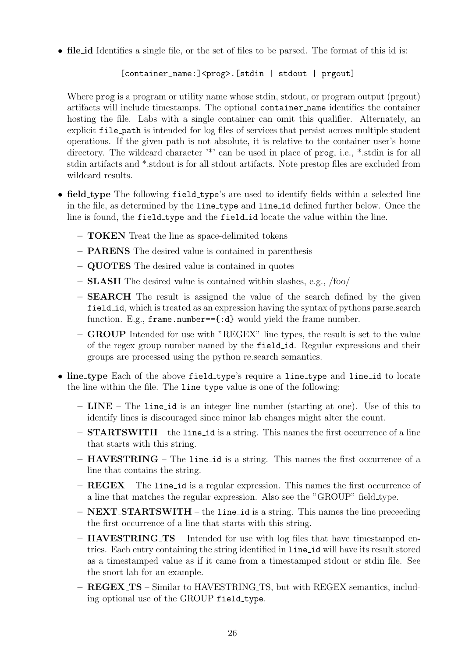• file id Identifies a single file, or the set of files to be parsed. The format of this id is:

## [container\_name:]<prog>.[stdin | stdout | prgout]

Where **prog** is a program or utility name whose stdin, stdout, or program output (prgout) artifacts will include timestamps. The optional container name identifies the container hosting the file. Labs with a single container can omit this qualifier. Alternately, an explicit file path is intended for log files of services that persist across multiple student operations. If the given path is not absolute, it is relative to the container user's home directory. The wildcard character  $\cdot^*$  can be used in place of prog, i.e.,  $*$  stdin is for all stdin artifacts and \*.stdout is for all stdout artifacts. Note prestop files are excluded from wildcard results.

- field type The following field type's are used to identify fields within a selected line in the file, as determined by the line type and line id defined further below. Once the line is found, the field type and the field id locate the value within the line.
	- TOKEN Treat the line as space-delimited tokens
	- PARENS The desired value is contained in parenthesis
	- QUOTES The desired value is contained in quotes
	- SLASH The desired value is contained within slashes, e.g., /foo/
	- SEARCH The result is assigned the value of the search defined by the given field id, which is treated as an expression having the syntax of pythons parse.search function. E.g.,  $frame_number = \{ :d\}$  would yield the frame number.
	- GROUP Intended for use with "REGEX" line types, the result is set to the value of the regex group number named by the field id. Regular expressions and their groups are processed using the python re.search semantics.
- line\_type Each of the above field\_type's require a line\_type and line\_id to locate the line within the file. The line type value is one of the following:
	- LINE The line id is an integer line number (starting at one). Use of this to identify lines is discouraged since minor lab changes might alter the count.
	- STARTSWITH the line id is a string. This names the first occurrence of a line that starts with this string.
	- HAVESTRING The line id is a string. This names the first occurrence of a line that contains the string.
	- REGEX The line id is a regular expression. This names the first occurrence of a line that matches the regular expression. Also see the "GROUP" field type.
	- $-$  **NEXT\_STARTSWITH** the line id is a string. This names the line preceeding the first occurrence of a line that starts with this string.
	- HAVESTRING TS Intended for use with log files that have timestamped entries. Each entry containing the string identified in line id will have its result stored as a timestamped value as if it came from a timestamped stdout or stdin file. See the snort lab for an example.
	- REGEX TS Similar to HAVESTRING TS, but with REGEX semantics, including optional use of the GROUP field\_type.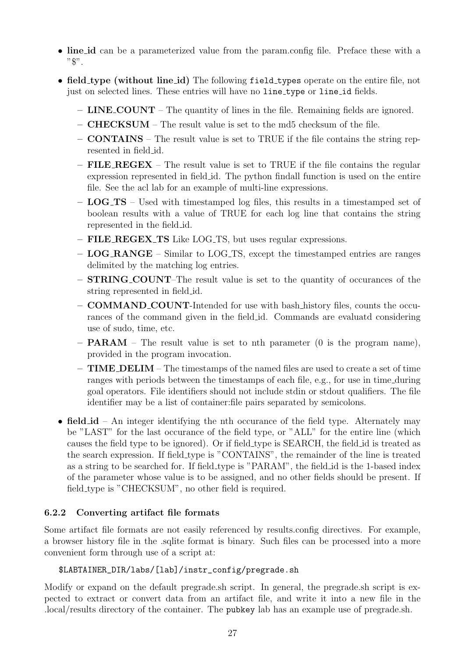- line id can be a parameterized value from the param.config file. Preface these with a  $"$  $"$ .
- field type (without line id) The following field types operate on the entire file, not just on selected lines. These entries will have no line type or line id fields.
	- LINE COUNT The quantity of lines in the file. Remaining fields are ignored.
	- CHECKSUM The result value is set to the md5 checksum of the file.
	- CONTAINS The result value is set to TRUE if the file contains the string represented in field id.
	- $-$  FILE REGEX The result value is set to TRUE if the file contains the regular expression represented in field id. The python findall function is used on the entire file. See the acl lab for an example of multi-line expressions.
	- $-$  LOG<sub>-TS</sub> Used with timestamped log files, this results in a timestamped set of boolean results with a value of TRUE for each log line that contains the string represented in the field id.
	- FILE REGEX TS Like LOG TS, but uses regular expressions.
	- LOG RANGE Similar to LOG TS, except the timestamped entries are ranges delimited by the matching log entries.
	- STRING COUNT–The result value is set to the quantity of occurances of the string represented in field id.
	- COMMAND COUNT-Intended for use with bash history files, counts the occurances of the command given in the field id. Commands are evaluatd considering use of sudo, time, etc.
	- $-$  **PARAM** The result value is set to nth parameter (0 is the program name), provided in the program invocation.
	- $-$  **TIME\_DELIM** The timestamps of the named files are used to create a set of time ranges with periods between the timestamps of each file, e.g., for use in time during goal operators. File identifiers should not include stdin or stdout qualifiers. The file identifier may be a list of container:file pairs separated by semicolons.
- field id An integer identifying the nth occurance of the field type. Alternately may be "LAST" for the last occurance of the field type, or "ALL" for the entire line (which causes the field type to be ignored). Or if field type is SEARCH, the field id is treated as the search expression. If field type is "CONTAINS", the remainder of the line is treated as a string to be searched for. If field type is "PARAM", the field id is the 1-based index of the parameter whose value is to be assigned, and no other fields should be present. If field type is "CHECKSUM", no other field is required.

### <span id="page-27-0"></span>6.2.2 Converting artifact file formats

Some artifact file formats are not easily referenced by results.config directives. For example, a browser history file in the .sqlite format is binary. Such files can be processed into a more convenient form through use of a script at:

### \$LABTAINER\_DIR/labs/[lab]/instr\_config/pregrade.sh

Modify or expand on the default pregrade.sh script. In general, the pregrade.sh script is expected to extract or convert data from an artifact file, and write it into a new file in the .local/results directory of the container. The pubkey lab has an example use of pregrade.sh.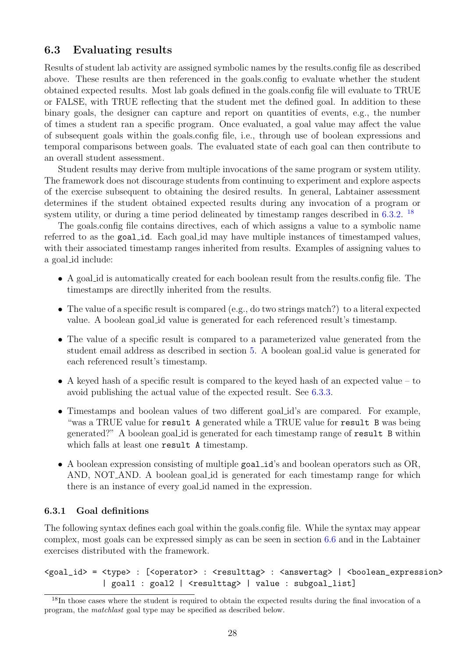## <span id="page-28-0"></span>6.3 Evaluating results

Results of student lab activity are assigned symbolic names by the results.config file as described above. These results are then referenced in the goals.config to evaluate whether the student obtained expected results. Most lab goals defined in the goals.config file will evaluate to TRUE or FALSE, with TRUE reflecting that the student met the defined goal. In addition to these binary goals, the designer can capture and report on quantities of events, e.g., the number of times a student ran a specific program. Once evaluated, a goal value may affect the value of subsequent goals within the goals.config file, i.e., through use of boolean expressions and temporal comparisons between goals. The evaluated state of each goal can then contribute to an overall student assessment.

Student results may derive from multiple invocations of the same program or system utility. The framework does not discourage students from continuing to experiment and explore aspects of the exercise subsequent to obtaining the desired results. In general, Labtainer assessment determines if the student obtained expected results during any invocation of a program or system utility, or during a time period delineated by timestamp ranges described in [6.3.2.](#page-31-0)<sup>[18](#page-28-2)</sup>

The goals.config file contains directives, each of which assigns a value to a symbolic name referred to as the goal id. Each goal id may have multiple instances of timestamped values, with their associated timestamp ranges inherited from results. Examples of assigning values to a goal id include:

- A goal id is automatically created for each boolean result from the results.config file. The timestamps are directlly inherited from the results.
- The value of a specific result is compared (e.g., do two strings match?) to a literal expected value. A boolean goal id value is generated for each referenced result's timestamp.
- The value of a specific result is compared to a parameterized value generated from the student email address as described in section [5.](#page-18-0) A boolean goal id value is generated for each referenced result's timestamp.
- A keyed hash of a specific result is compared to the keyed hash of an expected value to avoid publishing the actual value of the expected result. See [6.3.3.](#page-31-1)
- Timestamps and boolean values of two different goal id's are compared. For example, "was a TRUE value for result A generated while a TRUE value for result B was being generated?" A boolean goal id is generated for each timestamp range of result B within which falls at least one result A timestamp.
- A boolean expression consisting of multiple goal id's and boolean operators such as OR, AND, NOT AND. A boolean goal id is generated for each timestamp range for which there is an instance of every goal id named in the expression.

### <span id="page-28-1"></span>6.3.1 Goal definitions

The following syntax defines each goal within the goals.config file. While the syntax may appear complex, most goals can be expressed simply as can be seen in section [6.6](#page-34-0) and in the Labtainer exercises distributed with the framework.

<goal\_id> = <type> : [<operator> : <resulttag> : <answertag> | <br/> <br/> <br/> <br/>expression> | goal1 : goal2 | <resulttag> | value : subgoal\_list]

<span id="page-28-2"></span><sup>&</sup>lt;sup>18</sup>In those cases where the student is required to obtain the expected results during the final invocation of a program, the matchlast goal type may be specified as described below.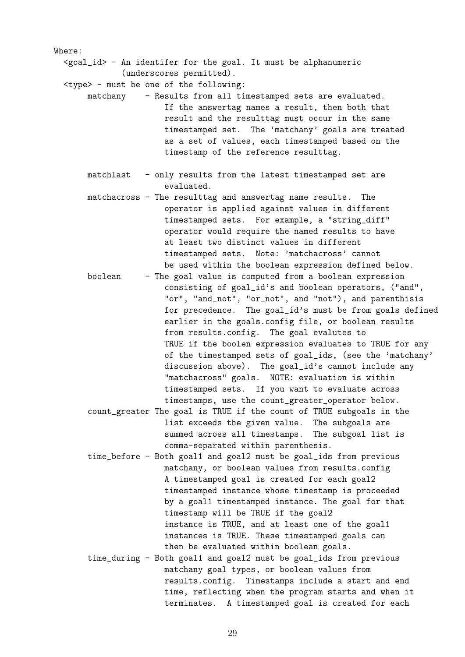<goal\_id> - An identifer for the goal. It must be alphanumeric (underscores permitted).

<type> - must be one of the following:

Where:

- matchany Results from all timestamped sets are evaluated. If the answertag names a result, then both that result and the resulttag must occur in the same timestamped set. The 'matchany' goals are treated as a set of values, each timestamped based on the timestamp of the reference resulttag.
	- matchlast only results from the latest timestamped set are evaluated.
	- matchacross The resulttag and answertag name results. The operator is applied against values in different timestamped sets. For example, a "string\_diff" operator would require the named results to have at least two distinct values in different timestamped sets. Note: 'matchacross' cannot be used within the boolean expression defined below.
	- boolean The goal value is computed from a boolean expression consisting of goal\_id's and boolean operators, ("and", "or", "and\_not", "or\_not", and "not"), and parenthisis for precedence. The goal\_id's must be from goals defined earlier in the goals.config file, or boolean results from results.config. The goal evalutes to TRUE if the boolen expression evaluates to TRUE for any of the timestamped sets of goal\_ids, (see the 'matchany' discussion above). The goal\_id's cannot include any "matchacross" goals. NOTE: evaluation is within timestamped sets. If you want to evaluate across timestamps, use the count\_greater\_operator below.
	- count\_greater The goal is TRUE if the count of TRUE subgoals in the list exceeds the given value. The subgoals are summed across all timestamps. The subgoal list is comma-separated within parenthesis.
	- time\_before Both goal1 and goal2 must be goal\_ids from previous matchany, or boolean values from results.config A timestamped goal is created for each goal2 timestamped instance whose timestamp is proceeded by a goal1 timestamped instance. The goal for that timestamp will be TRUE if the goal2 instance is TRUE, and at least one of the goal1 instances is TRUE. These timestamped goals can then be evaluated within boolean goals.
	- time\_during Both goal1 and goal2 must be goal\_ids from previous matchany goal types, or boolean values from results.config. Timestamps include a start and end time, reflecting when the program starts and when it terminates. A timestamped goal is created for each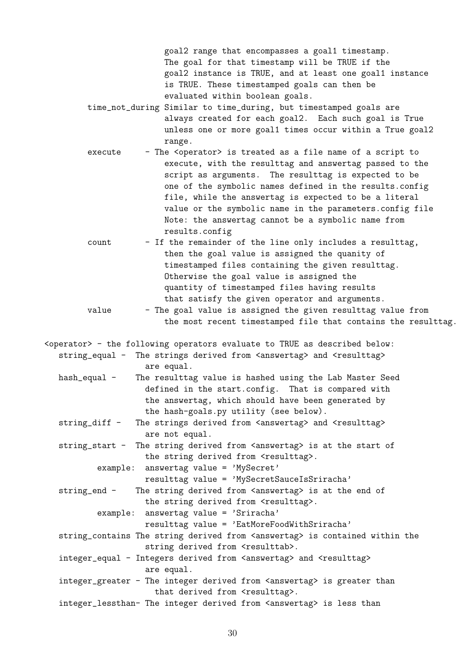goal2 range that encompasses a goal1 timestamp. The goal for that timestamp will be TRUE if the goal2 instance is TRUE, and at least one goal1 instance is TRUE. These timestamped goals can then be evaluated within boolean goals.

- time\_not\_during Similar to time\_during, but timestamped goals are always created for each goal2. Each such goal is True unless one or more goal1 times occur within a True goal2 range.
- execute The <operator> is treated as a file name of a script to execute, with the resulttag and answertag passed to the script as arguments. The resulttag is expected to be one of the symbolic names defined in the results.config file, while the answertag is expected to be a literal value or the symbolic name in the parameters.config file Note: the answertag cannot be a symbolic name from results.config
- count If the remainder of the line only includes a resulttag, then the goal value is assigned the quanity of timestamped files containing the given resulttag. Otherwise the goal value is assigned the quantity of timestamped files having results that satisfy the given operator and arguments.
- value The goal value is assigned the given resulttag value from the most recent timestamped file that contains the resulttag.

<operator> - the following operators evaluate to TRUE as described below: string\_equal - The strings derived from <answertag> and <resulttag> are equal. hash\_equal - The resulttag value is hashed using the Lab Master Seed

- defined in the start.config. That is compared with the answertag, which should have been generated by the hash-goals.py utility (see below).
- string\_diff The strings derived from <answertag> and <resulttag> are not equal.

string\_start - The string derived from <answertag> is at the start of the string derived from <resulttag>.

example: answertag value = 'MySecret'

resulttag value = 'MySecretSauceIsSriracha'

string\_end - The string derived from <answertag> is at the end of

- the string derived from <resulttag>.
	- example: answertag value = 'Sriracha'

resulttag value = 'EatMoreFoodWithSriracha'

- string\_contains The string derived from <answertag> is contained within the string derived from <resulttab>.
- integer\_equal Integers derived from <answertag> and <resulttag> are equal.
- integer\_greater The integer derived from <answertag> is greater than that derived from <resulttag>.
- integer\_lessthan- The integer derived from <answertag> is less than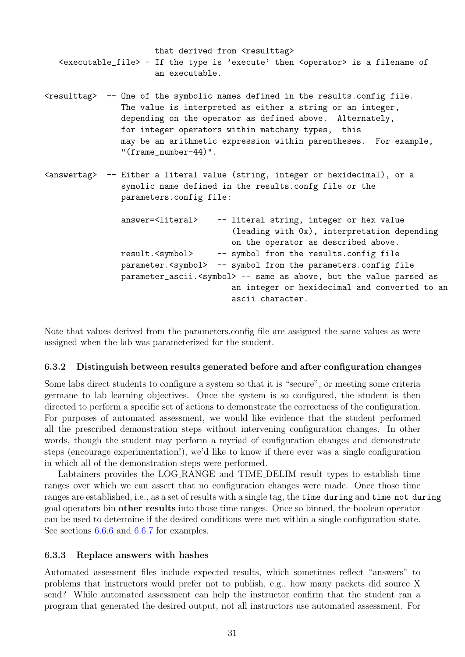that derived from <resulttag> <executable\_file> - If the type is 'execute' then <operator> is a filename of an executable. <resulttag> -- One of the symbolic names defined in the results.config file. The value is interpreted as either a string or an integer, depending on the operator as defined above. Alternately, for integer operators within matchany types, this may be an arithmetic expression within parentheses. For example, "(frame\_number-44)". <answertag> -- Either a literal value (string, integer or hexidecimal), or a symolic name defined in the results.confg file or the parameters.config file: answer=<literal> -- literal string, integer or hex value (leading with 0x), interpretation depending on the operator as described above. result.<symbol> -- symbol from the results.config file parameter.<symbol> -- symbol from the parameters.config file parameter\_ascii.<symbol> -- same as above, but the value parsed as an integer or hexidecimal and converted to an ascii character.

Note that values derived from the parameters.config file are assigned the same values as were assigned when the lab was parameterized for the student.

#### <span id="page-31-0"></span>6.3.2 Distinguish between results generated before and after configuration changes

Some labs direct students to configure a system so that it is "secure", or meeting some criteria germane to lab learning objectives. Once the system is so configured, the student is then directed to perform a specific set of actions to demonstrate the correctness of the configuration. For purposes of automated assessment, we would like evidence that the student performed all the prescribed demonstration steps without intervening configuration changes. In other words, though the student may perform a myriad of configuration changes and demonstrate steps (encourage experimentation!), we'd like to know if there ever was a single configuration in which all of the demonstration steps were performed.

Labtainers provides the LOG RANGE and TIME DELIM result types to establish time ranges over which we can assert that no configuration changes were made. Once those time ranges are established, i.e., as a set of results with a single tag, the time during and time not during goal operators bin other results into those time ranges. Once so binned, the boolean operator can be used to determine if the desired conditions were met within a single configuration state. See sections [6.6.6](#page-35-2) and [6.6.7](#page-36-0) for examples.

#### <span id="page-31-1"></span>6.3.3 Replace answers with hashes

Automated assessment files include expected results, which sometimes reflect "answers" to problems that instructors would prefer not to publish, e.g., how many packets did source X send? While automated assessment can help the instructor confirm that the student ran a program that generated the desired output, not all instructors use automated assessment. For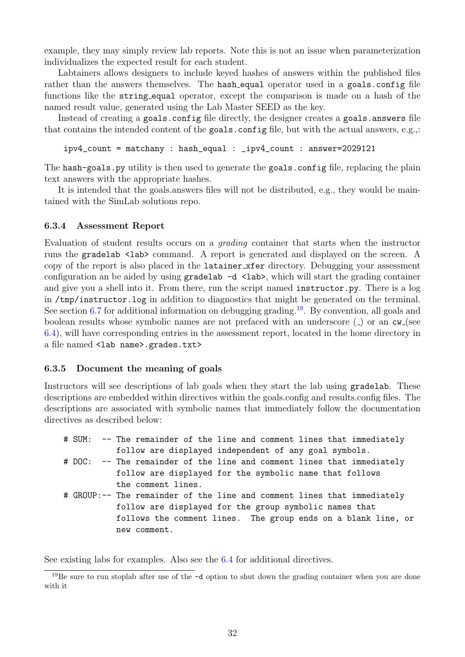example, they may simply review lab reports. Note this is not an issue when parameterization individualizes the expected result for each student.

Labtainers allows designers to include keyed hashes of answers within the published files rather than the answers themselves. The hash-equal operator used in a goals.config file functions like the string equal operator, except the comparison is made on a hash of the named result value, generated using the Lab Master SEED as the key.

Instead of creating a goals.config file directly, the designer creates a goals.answers file that contains the intended content of the goals.config file, but with the actual answers, e.g.,:

ipv4\_count = matchany : hash\_equal : \_ipv4\_count : answer=2029121

The hash-goals.py utility is then used to generate the goals.config file, replacing the plain text answers with the appropriate hashes.

It is intended that the goals.answers files will not be distributed, e.g., they would be maintained with the SimLab solutions repo.

#### <span id="page-32-0"></span>6.3.4 Assessment Report

Evaluation of student results occurs on a grading container that starts when the instructor runs the gradelab <lab> command. A report is generated and displayed on the screen. A copy of the report is also placed in the latainer xfer directory. Debugging your assessment configuration an be aided by using  $gradelab -d \langle lab \rangle$ , which will start the grading container and give you a shell into it. From there, run the script named instructor.py. There is a log in /tmp/instructor.log in addition to diagnostics that might be generated on the terminal. See section [6.7](#page-37-0) for additional information on debugging grading.<sup>[19](#page-32-2)</sup>. By convention, all goals and boolean results whose symbolic names are not prefaced with an underscore ( $\Box$ ) or an cw (see [6.4\)](#page-33-0), will have corresponding entries in the assessment report, located in the home directory in a file named <lab name>.grades.txt>

#### <span id="page-32-1"></span>6.3.5 Document the meaning of goals

Instructors will see descriptions of lab goals when they start the lab using gradelab. These descriptions are embedded within directives within the goals.config and results.config files. The descriptions are associated with symbolic names that immediately follow the documentation directives as described below:

```
# SUM: -- The remainder of the line and comment lines that immediately
           follow are displayed independent of any goal symbols.
# DOC: -- The remainder of the line and comment lines that immediately
           follow are displayed for the symbolic name that follows
           the comment lines.
# GROUP:-- The remainder of the line and comment lines that immediately
           follow are displayed for the group symbolic names that
           follows the comment lines. The group ends on a blank line, or
           new comment.
```
See existing labs for examples. Also see the [6.4](#page-33-0) for additional directives.

<span id="page-32-2"></span><sup>19</sup>Be sure to run stoplab after use of the -d option to shut down the grading container when you are done with it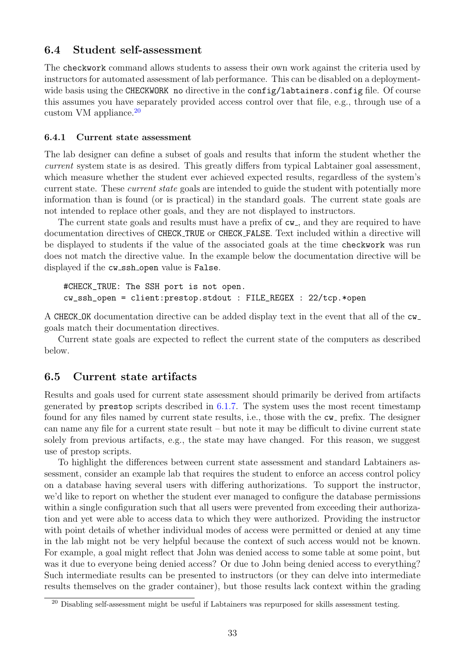### <span id="page-33-0"></span>6.4 Student self-assessment

The checkwork command allows students to assess their own work against the criteria used by instructors for automated assessment of lab performance. This can be disabled on a deploymentwide basis using the CHECKWORK no directive in the config/labtainers.config file. Of course this assumes you have separately provided access control over that file, e.g., through use of a custom VM appliance.[20](#page-33-3)

#### <span id="page-33-1"></span>6.4.1 Current state assessment

The lab designer can define a subset of goals and results that inform the student whether the current system state is as desired. This greatly differs from typical Labtainer goal assessment, which measure whether the student ever achieved expected results, regardless of the system's current state. These *current state* goals are intended to guide the student with potentially more information than is found (or is practical) in the standard goals. The current state goals are not intended to replace other goals, and they are not displayed to instructors.

The current state goals and results must have a prefix of  $cw_$ , and they are required to have documentation directives of CHECK TRUE or CHECK FALSE. Text included within a directive will be displayed to students if the value of the associated goals at the time checkwork was run does not match the directive value. In the example below the documentation directive will be displayed if the cw\_ssh\_open value is False.

```
#CHECK_TRUE: The SSH port is not open.
cw_ssh_open = client:prestop.stdout : FILE_REGEX : 22/tcp.*open
```
A CHECK OK documentation directive can be added display text in the event that all of the cw goals match their documentation directives.

Current state goals are expected to reflect the current state of the computers as described below.

### <span id="page-33-2"></span>6.5 Current state artifacts

Results and goals used for current state assessment should primarily be derived from artifacts generated by prestop scripts described in  $6.1.7$ . The system uses the most recent timestamp found for any files named by current state results, i.e., those with the  $cw$  prefix. The designer can name any file for a current state result – but note it may be difficult to divine current state solely from previous artifacts, e.g., the state may have changed. For this reason, we suggest use of prestop scripts.

To highlight the differences between current state assessment and standard Labtainers assessment, consider an example lab that requires the student to enforce an access control policy on a database having several users with differing authorizations. To support the instructor, we'd like to report on whether the student ever managed to configure the database permissions within a single configuration such that all users were prevented from exceeding their authorization and yet were able to access data to which they were authorized. Providing the instructor with point details of whether individual modes of access were permitted or denied at any time in the lab might not be very helpful because the context of such access would not be known. For example, a goal might reflect that John was denied access to some table at some point, but was it due to everyone being denied access? Or due to John being denied access to everything? Such intermediate results can be presented to instructors (or they can delve into intermediate results themselves on the grader container), but those results lack context within the grading

<span id="page-33-3"></span><sup>20</sup> Disabling self-assessment might be useful if Labtainers was repurposed for skills assessment testing.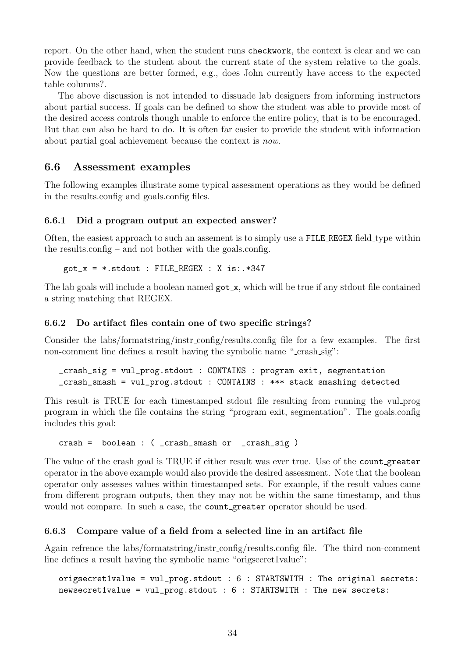report. On the other hand, when the student runs checkwork, the context is clear and we can provide feedback to the student about the current state of the system relative to the goals. Now the questions are better formed, e.g., does John currently have access to the expected table columns?.

The above discussion is not intended to dissuade lab designers from informing instructors about partial success. If goals can be defined to show the student was able to provide most of the desired access controls though unable to enforce the entire policy, that is to be encouraged. But that can also be hard to do. It is often far easier to provide the student with information about partial goal achievement because the context is now.

## <span id="page-34-0"></span>6.6 Assessment examples

The following examples illustrate some typical assessment operations as they would be defined in the results.config and goals.config files.

#### <span id="page-34-1"></span>6.6.1 Did a program output an expected answer?

Often, the easiest approach to such an assement is to simply use a FILE REGEX field type within the results.config – and not bother with the goals.config.

 $got_x = *.stdout : FILE\_REGEX : X is:.*347$ 

The lab goals will include a boolean named  $\gcd_x$ , which will be true if any stdout file contained a string matching that REGEX.

#### <span id="page-34-2"></span>6.6.2 Do artifact files contain one of two specific strings?

Consider the labs/formatstring/instr config/results.config file for a few examples. The first non-comment line defines a result having the symbolic name "-crash\_sig":

```
_crash_sig = vul_prog.stdout : CONTAINS : program exit, segmentation
_crash_smash = vul_prog.stdout : CONTAINS : *** stack smashing detected
```
This result is TRUE for each timestamped stdout file resulting from running the vul prog program in which the file contains the string "program exit, segmentation". The goals.config includes this goal:

crash = boolean : ( \_crash\_smash or \_crash\_sig )

The value of the crash goal is TRUE if either result was ever true. Use of the count greater operator in the above example would also provide the desired assessment. Note that the boolean operator only assesses values within timestamped sets. For example, if the result values came from different program outputs, then they may not be within the same timestamp, and thus would not compare. In such a case, the count greater operator should be used.

### <span id="page-34-3"></span>6.6.3 Compare value of a field from a selected line in an artifact file

Again refrence the labs/formatstring/instr config/results.config file. The third non-comment line defines a result having the symbolic name "origsecret1value":

```
origsecret1value = vul_prog.stdout : 6 : STARTSWITH : The original secrets:
newsecret1value = vul_prog.stdout : 6 : STARTSWITH : The new secrets:
```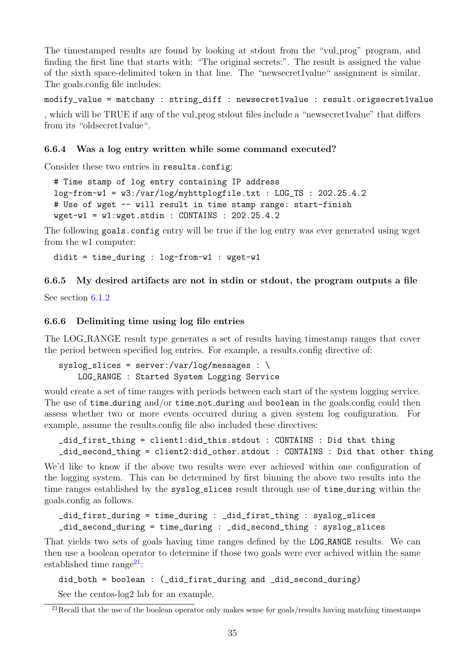The timestamped results are found by looking at stdout from the "vul prog" program, and finding the first line that starts with: "The original secrets:". The result is assigned the value of the sixth space-delimited token in that line. The "newsecret1value" assignment is similar. The goals.config file includes:

modify\_value = matchany : string\_diff : newsecret1value : result.origsecret1value

, which will be TRUE if any of the vul prog stdout files include a "newsecret1value" that differs from its "oldsecret1value".

### <span id="page-35-0"></span>6.6.4 Was a log entry written while some command executed?

Consider these two entries in results.config:

```
# Time stamp of log entry containing IP address
log-from-w1 = w3://var/log/myhttplogfile.txt : LOG_TS : 202.25.4.2# Use of wget -- will result in time stamp range: start-finish
wget-w1 = w1:wget.stdin : CONTAINS : 202.25.4.2
```
The following goals.config entry will be true if the log entry was ever generated using wget from the w1 computer:

```
didit = time_during : log-from-w1 : wget-w1
```
## <span id="page-35-1"></span>6.6.5 My desired artifacts are not in stdin or stdout, the program outputs a file

See section [6.1.2](#page-22-0)

### <span id="page-35-2"></span>6.6.6 Delimiting time using log file entries

The LOG RANGE result type generates a set of results having timestamp ranges that cover the period between specified log entries. For example, a results.config directive of:

 $syslog_slices = server://var/log/messages : \ \ \ \$ LOG\_RANGE : Started System Logging Service

would create a set of time ranges with periods between each start of the system logging service. The use of time\_during and/or time\_not\_during and boolean in the goals.config could then assess whether two or more events occurred during a given system log configuration. For example, assume the results.config file also included these directives:

```
_did_first_thing = client1:did_this.stdout : CONTAINS : Did that thing
_did_second_thing = client2:did_other.stdout : CONTAINS : Did that other thing
```
We'd like to know if the above two results were ever achieved within one configuration of the logging system. This can be determined by first binning the above two results into the time ranges established by the syslog slices result through use of time during within the goals.config as follows.

```
_did_first_during = time_during : _did_first_thing : syslog_slices
_did_second_during = time_during : _did_second_thing : syslog_slices
```
That yields two sets of goals having time ranges defined by the LOG RANGE results. We can then use a boolean operator to determine if those two goals were ever achived within the same established time range<sup>[21](#page-35-3)</sup>:

```
did_both = boolean : (_did_first_during and _did_second_during)
```
See the centos-log2 lab for an example.

<span id="page-35-3"></span> $^{21}$ Recall that the use of the boolean operator only makes sense for goals/results having matching timestamps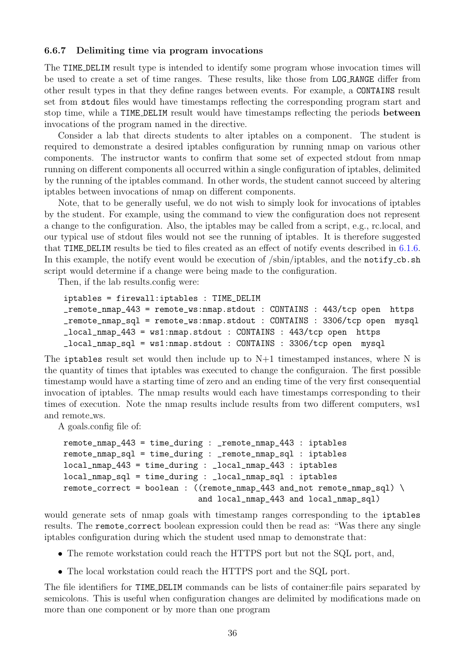#### <span id="page-36-0"></span>6.6.7 Delimiting time via program invocations

The TIME DELIM result type is intended to identify some program whose invocation times will be used to create a set of time ranges. These results, like those from LOG RANGE differ from other result types in that they define ranges between events. For example, a CONTAINS result set from stdout files would have timestamps reflecting the corresponding program start and stop time, while a TIME DELIM result would have timestamps reflecting the periods between invocations of the program named in the directive.

Consider a lab that directs students to alter iptables on a component. The student is required to demonstrate a desired iptables configuration by running nmap on various other components. The instructor wants to confirm that some set of expected stdout from nmap running on different components all occurred within a single configuration of iptables, delimited by the running of the iptables command. In other words, the student cannot succeed by altering iptables between invocations of nmap on different components.

Note, that to be generally useful, we do not wish to simply look for invocations of iptables by the student. For example, using the command to view the configuration does not represent a change to the configuration. Also, the iptables may be called from a script, e.g., rc.local, and our typical use of stdout files would not see the running of iptables. It is therefore suggested that TIME DELIM results be tied to files created as an effect of notify events described in [6.1.6.](#page-23-2) In this example, the notify event would be execution of /sbin/iptables, and the notify\_cb.sh script would determine if a change were being made to the configuration.

Then, if the lab results.config were:

```
iptables = firewall:iptables : TIME_DELIM
_remote_nmap_443 = remote_ws:nmap.stdout : CONTAINS : 443/tcp open https
_remote_nmap_sql = remote_ws:nmap.stdout : CONTAINS : 3306/tcp open mysql
_local_nmap_443 = ws1:nmap.stdout : CONTAINS : 443/tcp open https
_local_nmap_sql = ws1:nmap.stdout : CONTAINS : 3306/tcp open mysql
```
The iptables result set would then include up to  $N+1$  timestamped instances, where N is the quantity of times that iptables was executed to change the configuraion. The first possible timestamp would have a starting time of zero and an ending time of the very first consequential invocation of iptables. The nmap results would each have timestamps corresponding to their times of execution. Note the nmap results include results from two different computers, ws1 and remote\_ws.

A goals.config file of:

```
remote_nmap_443 = time_during : _remote_nmap_443 : iptables
remote_nmap_sql = time_during : _remote_nmap_sql : iptables
local_nmap_443 = time_during : _local_nmap_443 : iptables
local_nmap_sql = time_during : _local_nmap_sql : iptables
remote_correct = boolean : ((\text{remote\_mmap\_443 and\_not} remote_nmap_sql) \setminusand local_nmap_443 and local_nmap_sql)
```
would generate sets of nmap goals with timestamp ranges corresponding to the iptables results. The remote correct boolean expression could then be read as: "Was there any single iptables configuration during which the student used nmap to demonstrate that:

- The remote workstation could reach the HTTPS port but not the SQL port, and,
- The local workstation could reach the HTTPS port and the SQL port.

The file identifiers for TIME DELIM commands can be lists of container:file pairs separated by semicolons. This is useful when configuration changes are delimited by modifications made on more than one component or by more than one program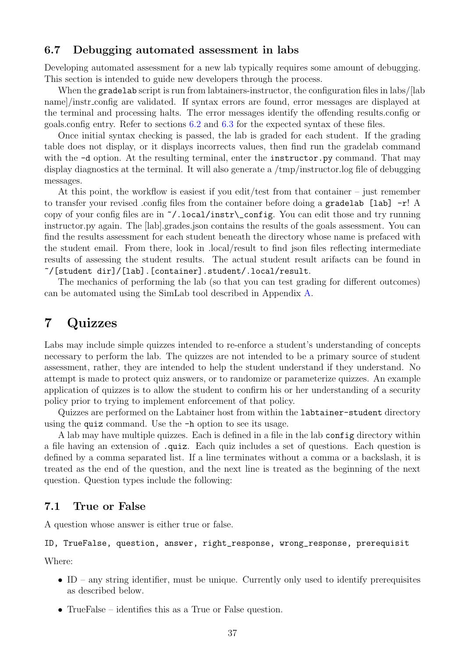### <span id="page-37-0"></span>6.7 Debugging automated assessment in labs

Developing automated assessment for a new lab typically requires some amount of debugging. This section is intended to guide new developers through the process.

When the gradelab script is run from labtainers-instructor, the configuration files in labs/[lab] name]/instr config are validated. If syntax errors are found, error messages are displayed at the terminal and processing halts. The error messages identify the offending results.config or goals.config entry. Refer to sections [6.2](#page-25-0) and [6.3](#page-28-0) for the expected syntax of these files.

Once initial syntax checking is passed, the lab is graded for each student. If the grading table does not display, or it displays incorrects values, then find run the gradelab command with the  $-d$  option. At the resulting terminal, enter the instructor.py command. That may display diagnostics at the terminal. It will also generate a /tmp/instructor.log file of debugging messages.

At this point, the workflow is easiest if you edit/test from that container – just remember to transfer your revised .config files from the container before doing a gradelab [lab] -r! A copy of your config files are in ~/.local/instr\\_config. You can edit those and try running instructor.py again. The [lab].grades.json contains the results of the goals assessment. You can find the results assessment for each student beneath the directory whose name is prefaced with the student email. From there, look in .local/result to find json files reflecting intermediate results of assessing the student results. The actual student result arifacts can be found in ~/[student dir]/[lab].[container].student/.local/result.

The mechanics of performing the lab (so that you can test grading for different outcomes) can be automated using the SimLab tool described in Appendix [A.](#page-60-0)

# <span id="page-37-1"></span>7 Quizzes

Labs may include simple quizzes intended to re-enforce a student's understanding of concepts necessary to perform the lab. The quizzes are not intended to be a primary source of student assessment, rather, they are intended to help the student understand if they understand. No attempt is made to protect quiz answers, or to randomize or parameterize quizzes. An example application of quizzes is to allow the student to confirm his or her understanding of a security policy prior to trying to implement enforcement of that policy.

Quizzes are performed on the Labtainer host from within the labtainer-student directory using the quiz command. Use the -h option to see its usage.

A lab may have multiple quizzes. Each is defined in a file in the lab config directory within a file having an extension of .quiz. Each quiz includes a set of questions. Each question is defined by a comma separated list. If a line terminates without a comma or a backslash, it is treated as the end of the question, and the next line is treated as the beginning of the next question. Question types include the following:

### <span id="page-37-2"></span>7.1 True or False

A question whose answer is either true or false.

### ID, TrueFalse, question, answer, right\_response, wrong\_response, prerequisit

Where:

- ID any string identifier, must be unique. Currently only used to identify prerequisites as described below.
- TrueFalse identifies this as a True or False question.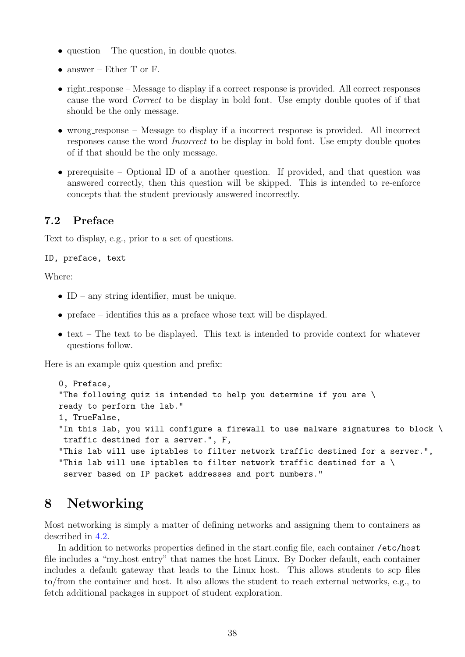- question The question, in double quotes.
- answer Ether T or F.
- right response Message to display if a correct response is provided. All correct responses cause the word Correct to be display in bold font. Use empty double quotes of if that should be the only message.
- wrong response Message to display if a incorrect response is provided. All incorrect responses cause the word Incorrect to be display in bold font. Use empty double quotes of if that should be the only message.
- prerequisite Optional ID of a another question. If provided, and that question was answered correctly, then this question will be skipped. This is intended to re-enforce concepts that the student previously answered incorrectly.

# <span id="page-38-0"></span>7.2 Preface

Text to display, e.g., prior to a set of questions.

#### ID, preface, text

Where:

- ID any string identifier, must be unique.
- preface identifies this as a preface whose text will be displayed.
- text The text to be displayed. This text is intended to provide context for whatever questions follow.

Here is an example quiz question and prefix:

```
0, Preface,
"The following quiz is intended to help you determine if you are \
ready to perform the lab."
1, TrueFalse,
"In this lab, you will configure a firewall to use malware signatures to block \
 traffic destined for a server.", F,
"This lab will use iptables to filter network traffic destined for a server.",
"This lab will use iptables to filter network traffic destined for a \setminusserver based on IP packet addresses and port numbers."
```
# <span id="page-38-1"></span>8 Networking

Most networking is simply a matter of defining networks and assigning them to containers as described in [4.2.](#page-10-0)

In addition to networks properties defined in the start.config file, each container /etc/host file includes a "my host entry" that names the host Linux. By Docker default, each container includes a default gateway that leads to the Linux host. This allows students to scp files to/from the container and host. It also allows the student to reach external networks, e.g., to fetch additional packages in support of student exploration.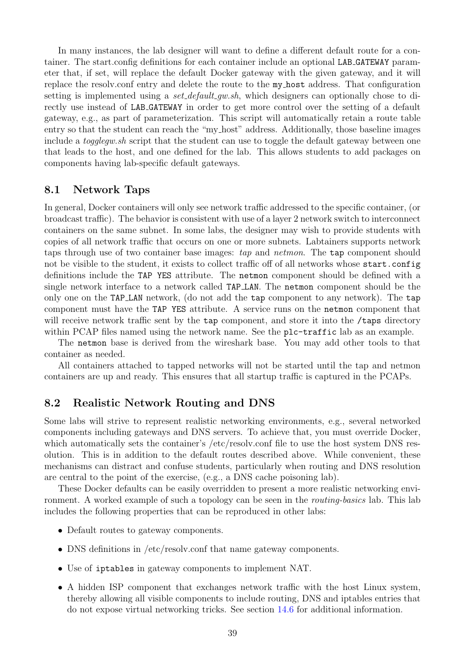In many instances, the lab designer will want to define a different default route for a container. The start.config definitions for each container include an optional LAB GATEWAY parameter that, if set, will replace the default Docker gateway with the given gateway, and it will replace the resolv.conf entry and delete the route to the my host address. That configuration setting is implemented using a *set default gw.sh*, which designers can optionally chose to directly use instead of LAB GATEWAY in order to get more control over the setting of a default gateway, e.g., as part of parameterization. This script will automatically retain a route table entry so that the student can reach the "my host" address. Additionally, those baseline images include a *togglegw.sh* script that the student can use to toggle the default gateway between one that leads to the host, and one defined for the lab. This allows students to add packages on components having lab-specific default gateways.

## <span id="page-39-0"></span>8.1 Network Taps

In general, Docker containers will only see network traffic addressed to the specific container, (or broadcast traffic). The behavior is consistent with use of a layer 2 network switch to interconnect containers on the same subnet. In some labs, the designer may wish to provide students with copies of all network traffic that occurs on one or more subnets. Labtainers supports network taps through use of two container base images: tap and netmon. The tap component should not be visible to the student, it exists to collect traffic off of all networks whose start.config definitions include the TAP YES attribute. The netmon component should be defined with a single network interface to a network called TAP LAN. The netmon component should be the only one on the TAP LAN network, (do not add the tap component to any network). The tap component must have the TAP YES attribute. A service runs on the netmon component that will receive network traffic sent by the tap component, and store it into the /taps directory within PCAP files named using the network name. See the plc-traffic lab as an example.

The netmon base is derived from the wireshark base. You may add other tools to that container as needed.

All containers attached to tapped networks will not be started until the tap and netmon containers are up and ready. This ensures that all startup traffic is captured in the PCAPs.

### <span id="page-39-1"></span>8.2 Realistic Network Routing and DNS

Some labs will strive to represent realistic networking environments, e.g., several networked components including gateways and DNS servers. To achieve that, you must override Docker, which automatically sets the container's /etc/resolv.conf file to use the host system DNS resolution. This is in addition to the default routes described above. While convenient, these mechanisms can distract and confuse students, particularly when routing and DNS resolution are central to the point of the exercise, (e.g., a DNS cache poisoning lab).

These Docker defaults can be easily overridden to present a more realistic networking environment. A worked example of such a topology can be seen in the *routing-basics* lab. This lab includes the following properties that can be reproduced in other labs:

- Default routes to gateway components.
- DNS definitions in /etc/resolv.conf that name gateway components.
- Use of iptables in gateway components to implement NAT.
- A hidden ISP component that exchanges network traffic with the host Linux system, thereby allowing all visible components to include routing, DNS and iptables entries that do not expose virtual networking tricks. See section [14.6](#page-56-5) for additional information.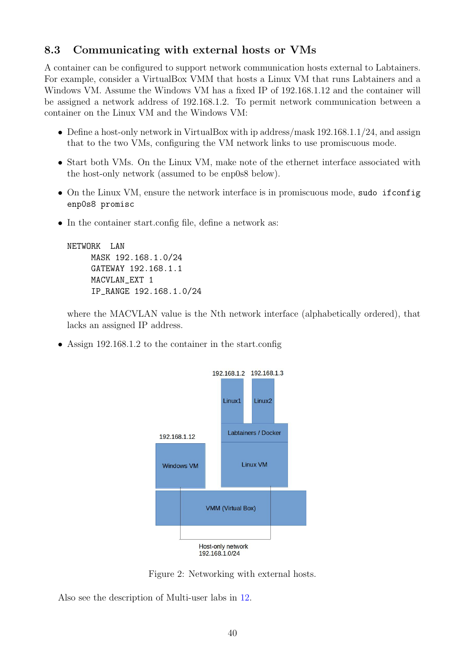# <span id="page-40-0"></span>8.3 Communicating with external hosts or VMs

A container can be configured to support network communication hosts external to Labtainers. For example, consider a VirtualBox VMM that hosts a Linux VM that runs Labtainers and a Windows VM. Assume the Windows VM has a fixed IP of 192.168.1.12 and the container will be assigned a network address of 192.168.1.2. To permit network communication between a container on the Linux VM and the Windows VM:

- Define a host-only network in VirtualBox with ip address/mask 192.168.1.1/24, and assign that to the two VMs, configuring the VM network links to use promiscuous mode.
- Start both VMs. On the Linux VM, make note of the ethernet interface associated with the host-only network (assumed to be enp0s8 below).
- On the Linux VM, ensure the network interface is in promiscuous mode, sudo ifconfig enp0s8 promisc
- In the container start.config file, define a network as:

```
NETWORK LAN
     MASK 192.168.1.0/24
     GATEWAY 192.168.1.1
     MACVLAN_EXT 1
     IP_RANGE 192.168.1.0/24
```
where the MACVLAN value is the Nth network interface (alphabetically ordered), that lacks an assigned IP address.

• Assign 192.168.1.2 to the container in the start.config



Figure 2: Networking with external hosts.

Also see the description of Multi-user labs in [12.](#page-51-0)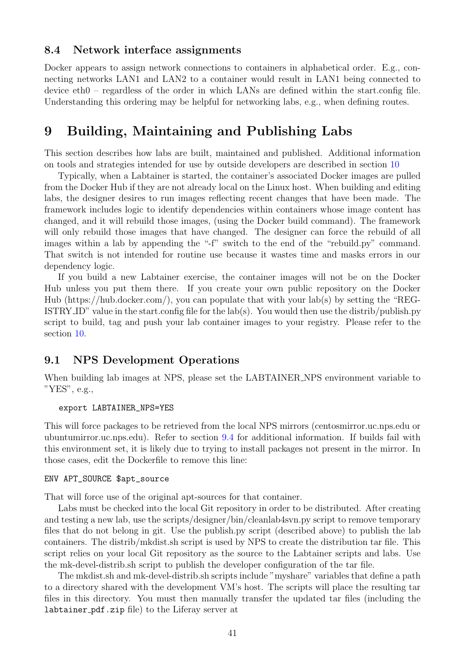### <span id="page-41-0"></span>8.4 Network interface assignments

Docker appears to assign network connections to containers in alphabetical order. E.g., connecting networks LAN1 and LAN2 to a container would result in LAN1 being connected to device eth0 – regardless of the order in which LANs are defined within the start.config file. Understanding this ordering may be helpful for networking labs, e.g., when defining routes.

# <span id="page-41-1"></span>9 Building, Maintaining and Publishing Labs

This section describes how labs are built, maintained and published. Additional information on tools and strategies intended for use by outside developers are described in section [10](#page-45-0)

Typically, when a Labtainer is started, the container's associated Docker images are pulled from the Docker Hub if they are not already local on the Linux host. When building and editing labs, the designer desires to run images reflecting recent changes that have been made. The framework includes logic to identify dependencies within containers whose image content has changed, and it will rebuild those images, (using the Docker build command). The framework will only rebuild those images that have changed. The designer can force the rebuild of all images within a lab by appending the "-f" switch to the end of the "rebuild.py" command. That switch is not intended for routine use because it wastes time and masks errors in our dependency logic.

If you build a new Labtainer exercise, the container images will not be on the Docker Hub unless you put them there. If you create your own public repository on the Docker Hub (https://hub.docker.com/), you can populate that with your lab(s) by setting the "REG-ISTRY ID" value in the start.config file for the lab(s). You would then use the distrib/publish.py script to build, tag and push your lab container images to your registry. Please refer to the section [10.](#page-45-0)

### <span id="page-41-2"></span>9.1 NPS Development Operations

When building lab images at NPS, please set the LABTAINER NPS environment variable to "YES", e.g.,

#### export LABTAINER\_NPS=YES

This will force packages to be retrieved from the local NPS mirrors (centosmirror.uc.nps.edu or ubuntumirror.uc.nps.edu). Refer to section [9.4](#page-43-1) for additional information. If builds fail with this environment set, it is likely due to trying to install packages not present in the mirror. In those cases, edit the Dockerfile to remove this line:

#### ENV APT\_SOURCE \$apt\_source

That will force use of the original apt-sources for that container.

Labs must be checked into the local Git repository in order to be distributed. After creating and testing a new lab, use the scripts/designer/bin/cleanlab4svn.py script to remove temporary files that do not belong in git. Use the publish.py script (described above) to publish the lab containers. The distrib/mkdist.sh script is used by NPS to create the distribution tar file. This script relies on your local Git repository as the source to the Labtainer scripts and labs. Use the mk-devel-distrib.sh script to publish the developer configuration of the tar file.

The mkdist.sh and mk-devel-distrib.sh scripts include "myshare" variables that define a path to a directory shared with the development VM's host. The scripts will place the resulting tar files in this directory. You must then manually transfer the updated tar files (including the labtainer pdf.zip file) to the Liferay server at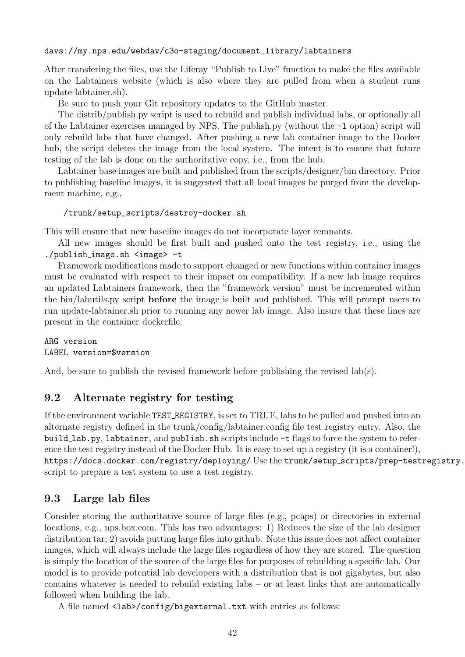### davs://my.nps.edu/webdav/c3o-staging/document\_library/labtainers

After transfering the files, use the Liferay "Publish to Live" function to make the files available on the Labtainers website (which is also where they are pulled from when a student runs update-labtainer.sh).

Be sure to push your Git repository updates to the GitHub master.

The distrib/publish.py script is used to rebuild and publish individual labs, or optionally all of the Labtainer exercises managed by NPS. The publish.py (without the -l option) script will only rebuild labs that have changed. After pushing a new lab container image to the Docker hub, the script deletes the image from the local system. The intent is to ensure that future testing of the lab is done on the authoritative copy, i.e., from the hub.

Labtainer base images are built and published from the scripts/designer/bin directory. Prior to publishing baseline images, it is suggested that all local images be purged from the development machine, e,g.,

```
/trunk/setup_scripts/destroy-docker.sh
```
This will ensure that new baseline images do not incorporate layer remnants.

All new images should be first built and pushed onto the test registry, i.e., using the ./publish image.sh <image> -t

Framework modifications made to support changed or new functions within container images must be evaluated with respect to their impact on compatibility. If a new lab image requires an updated Labtainers framework, then the "framework version" must be incremented within the bin/labutils.py script before the image is built and published. This will prompt users to run update-labtainer.sh prior to running any newer lab image. Also insure that these lines are present in the container dockerfile:

ARG version LABEL version=\$version

And, be sure to publish the revised framework before publishing the revised lab(s).

## <span id="page-42-0"></span>9.2 Alternate registry for testing

If the environment variable TEST REGISTRY, is set to TRUE, labs to be pulled and pushed into an alternate registry defined in the trunk/config/labtainer.config file test registry entry. Also, the build\_lab.py, labtainer, and publish.sh scripts include -t flags to force the system to reference the test registry instead of the Docker Hub. It is easy to set up a registry (it is a container!), <https://docs.docker.com/registry/deploying/> Use the trunk/setup\_scripts/prep-testregistry. script to prepare a test system to use a test registry.

## <span id="page-42-1"></span>9.3 Large lab files

Consider storing the authoritative source of large files (e.g., pcaps) or directories in external locations, e.g., nps.box.com. This has two advantages: 1) Reduces the size of the lab designer distribution tar; 2) avoids putting large files into github. Note this issue does not affect container images, which will always include the large files regardless of how they are stored. The question is simply the location of the source of the large files for purposes of rebuilding a specific lab. Our model is to provide potential lab developers with a distribution that is not gigabytes, but also contains whatever is needed to rebuild existing labs – or at least links that are automatically followed when building the lab.

A file named <lab>/config/bigexternal.txt with entries as follows: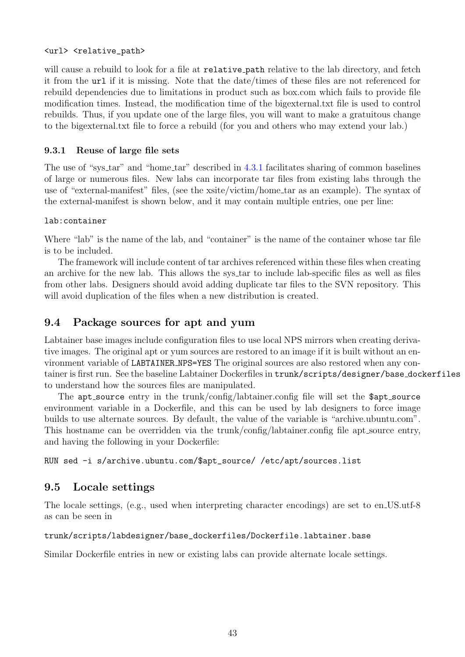### <url> <relative\_path>

will cause a rebuild to look for a file at relative **path** relative to the lab directory, and fetch it from the url if it is missing. Note that the date/times of these files are not referenced for rebuild dependencies due to limitations in product such as box.com which fails to provide file modification times. Instead, the modification time of the bigexternal.txt file is used to control rebuilds. Thus, if you update one of the large files, you will want to make a gratuitous change to the bigexternal.txt file to force a rebuild (for you and others who may extend your lab.)

## <span id="page-43-0"></span>9.3.1 Reuse of large file sets

The use of "sys<sub>-tar</sub>" and "home<sub>-tar</sub>" described in [4.3.1](#page-14-1) facilitates sharing of common baselines of large or numerous files. New labs can incorporate tar files from existing labs through the use of "external-manifest" files, (see the xsite/victim/home tar as an example). The syntax of the external-manifest is shown below, and it may contain multiple entries, one per line:

### lab:container

Where "lab" is the name of the lab, and "container" is the name of the container whose tar file is to be included.

The framework will include content of tar archives referenced within these files when creating an archive for the new lab. This allows the sys tar to include lab-specific files as well as files from other labs. Designers should avoid adding duplicate tar files to the SVN repository. This will avoid duplication of the files when a new distribution is created.

## <span id="page-43-1"></span>9.4 Package sources for apt and yum

Labtainer base images include configuration files to use local NPS mirrors when creating derivative images. The original apt or yum sources are restored to an image if it is built without an environment variable of LABTAINER NPS=YES The original sources are also restored when any container is first run. See the baseline Labtainer Dockerfiles in trunk/scripts/designer/base dockerfiles to understand how the sources files are manipulated.

The apt\_source entry in the trunk/config/labtainer.config file will set the \$apt\_source environment variable in a Dockerfile, and this can be used by lab designers to force image builds to use alternate sources. By default, the value of the variable is "archive.ubuntu.com". This hostname can be overridden via the trunk/config/labtainer.config file apt\_source entry, and having the following in your Dockerfile:

RUN sed -i s/archive.ubuntu.com/\$apt\_source/ /etc/apt/sources.list

# <span id="page-43-2"></span>9.5 Locale settings

The locale settings, (e.g., used when interpreting character encodings) are set to en US.utf-8 as can be seen in

### trunk/scripts/labdesigner/base\_dockerfiles/Dockerfile.labtainer.base

Similar Dockerfile entries in new or existing labs can provide alternate locale settings.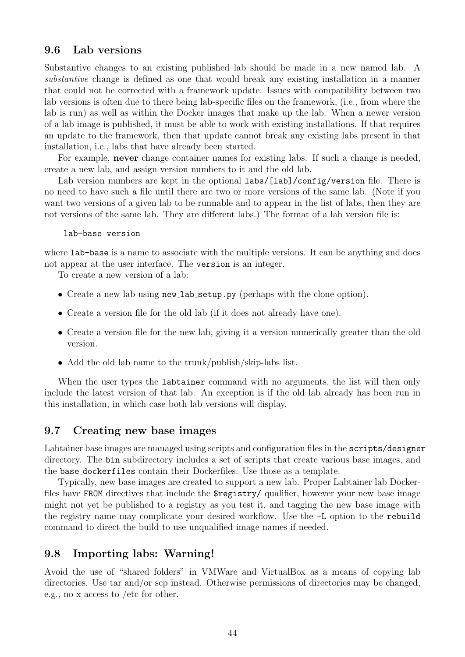### <span id="page-44-0"></span>9.6 Lab versions

Substantive changes to an existing published lab should be made in a new named lab. A substantive change is defined as one that would break any existing installation in a manner that could not be corrected with a framework update. Issues with compatibility between two lab versions is often due to there being lab-specific files on the framework, (i.e., from where the lab is run) as well as within the Docker images that make up the lab. When a newer version of a lab image is published, it must be able to work with existing installations. If that requires an update to the framework, then that update cannot break any existing labs present in that installation, i.e., labs that have already been started.

For example, never change container names for existing labs. If such a change is needed, create a new lab, and assign version numbers to it and the old lab.

Lab version numbers are kept in the optional labs/[lab]/config/version file. There is no need to have such a file until there are two or more versions of the same lab. (Note if you want two versions of a given lab to be runnable and to appear in the list of labs, then they are not versions of the same lab. They are different labs.) The format of a lab version file is:

lab-base version

where lab-base is a name to associate with the multiple versions. It can be anything and does not appear at the user interface. The version is an integer.

To create a new version of a lab:

- Create a new lab using new lab setup.py (perhaps with the clone option).
- Create a version file for the old lab (if it does not already have one).
- Create a version file for the new lab, giving it a version numerically greater than the old version.
- Add the old lab name to the trunk/publish/skip-labs list.

When the user types the labtainer command with no arguments, the list will then only include the latest version of that lab. An exception is if the old lab already has been run in this installation, in which case both lab versions will display.

### <span id="page-44-1"></span>9.7 Creating new base images

Labtainer base images are managed using scripts and configuration files in the scripts/designer directory. The bin subdirectory includes a set of scripts that create various base images, and the base dockerfiles contain their Dockerfiles. Use those as a template.

Typically, new base images are created to support a new lab. Proper Labtainer lab Dockerfiles have FROM directives that include the \$registry/ qualifier, however your new base image might not yet be published to a registry as you test it, and tagging the new base image with the registry name may complicate your desired workflow. Use the -L option to the rebuild command to direct the build to use unqualified image names if needed.

### <span id="page-44-2"></span>9.8 Importing labs: Warning!

Avoid the use of "shared folders" in VMWare and VirtualBox as a means of copying lab directories. Use tar and/or scp instead. Otherwise permissions of directories may be changed, e.g., no x access to /etc for other.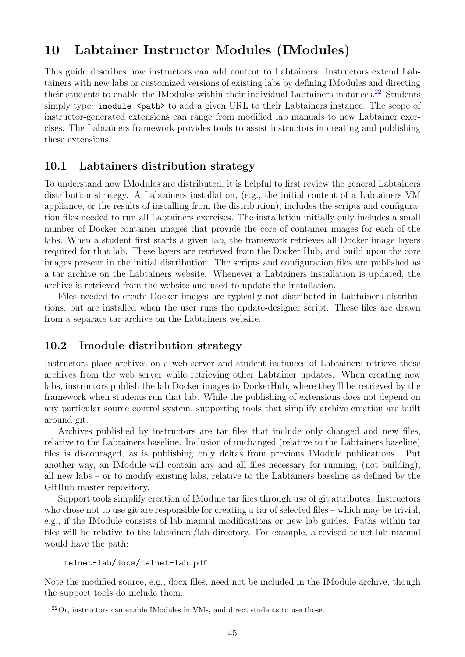# <span id="page-45-0"></span>10 Labtainer Instructor Modules (IModules)

This guide describes how instructors can add content to Labtainers. Instructors extend Labtainers with new labs or customized versions of existing labs by defining IModules and directing their students to enable the IModules within their individual Labtainers instances.<sup>[22](#page-45-3)</sup> Students simply type: imodule  $\epsilon$   $\epsilon$   $\epsilon$   $\epsilon$   $\epsilon$   $\epsilon$  and a given URL to their Labtainers instance. The scope of instructor-generated extensions can range from modified lab manuals to new Labtainer exercises. The Labtainers framework provides tools to assist instructors in creating and publishing these extensions.

## <span id="page-45-1"></span>10.1 Labtainers distribution strategy

To understand how IModules are distributed, it is helpful to first review the general Labtainers distribution strategy. A Labtainers installation, (e.g., the initial content of a Labtainers VM appliance, or the results of installing from the distribution), includes the scripts and configuration files needed to run all Labtainers exercises. The installation initially only includes a small number of Docker container images that provide the core of container images for each of the labs. When a student first starts a given lab, the framework retrieves all Docker image layers required for that lab. These layers are retrieved from the Docker Hub, and build upon the core images present in the initial distribution. The scripts and configuration files are published as a tar archive on the Labtainers website. Whenever a Labtainers installation is updated, the archive is retrieved from the website and used to update the installation.

Files needed to create Docker images are typically not distributed in Labtainers distributions, but are installed when the user runs the update-designer script. These files are drawn from a separate tar archive on the Labtainers website.

## <span id="page-45-2"></span>10.2 Imodule distribution strategy

Instructors place archives on a web server and student instances of Labtainers retrieve those archives from the web server while retrieving other Labtainer updates. When creating new labs, instructors publish the lab Docker images to DockerHub, where they'll be retrieved by the framework when students run that lab. While the publishing of extensions does not depend on any particular source control system, supporting tools that simplify archive creation are built around git.

Archives published by instructors are tar files that include only changed and new files, relative to the Labtainers baseline. Inclusion of unchanged (relative to the Labtainers baseline) files is discouraged, as is publishing only deltas from previous IModule publications. Put another way, an IModule will contain any and all files necessary for running, (not building), all new labs – or to modify existing labs, relative to the Labtainers baseline as defined by the GitHub master repository.

Support tools simplify creation of IModule tar files through use of git attributes. Instructors who chose not to use git are responsible for creating a tar of selected files – which may be trivial, e.g., if the IModule consists of lab manual modifications or new lab guides. Paths within tar files will be relative to the labtainers/lab directory. For example, a revised telnet-lab manual would have the path:

```
telnet-lab/docs/telnet-lab.pdf
```
Note the modified source, e.g., docx files, need not be included in the IModule archive, though the support tools do include them.

<span id="page-45-3"></span> $22$ Or, instructors can enable IModules in VMs, and direct students to use those.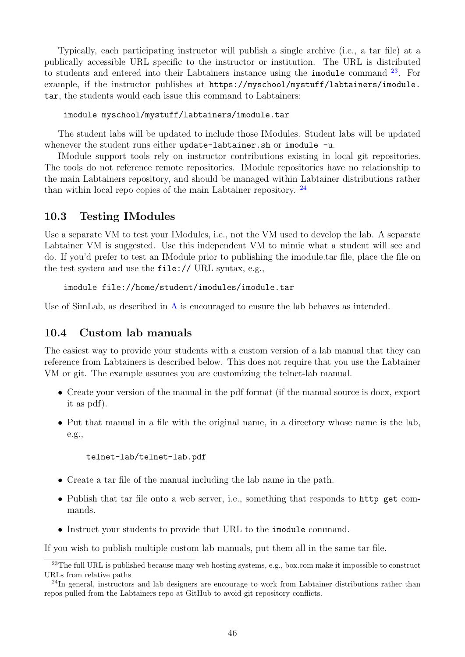Typically, each participating instructor will publish a single archive (i.e., a tar file) at a publically accessible URL specific to the instructor or institution. The URL is distributed to students and entered into their Labtainers instance using the imodule command  $23$ . For example, if the instructor publishes at [https://myschool/mystuff/labtainers/imodule.](https://myschool/mystuff/labtainers/imodule.tar) [tar](https://myschool/mystuff/labtainers/imodule.tar), the students would each issue this command to Labtainers:

imodule myschool/mystuff/labtainers/imodule.tar

The student labs will be updated to include those IModules. Student labs will be updated whenever the student runs either update-labtainer.sh or imodule -u.

IModule support tools rely on instructor contributions existing in local git repositories. The tools do not reference remote repositories. IModule repositories have no relationship to the main Labtainers repository, and should be managed within Labtainer distributions rather than within local repo copies of the main Labtainer repository. [24](#page-46-3)

### <span id="page-46-0"></span>10.3 Testing IModules

Use a separate VM to test your IModules, i.e., not the VM used to develop the lab. A separate Labtainer VM is suggested. Use this independent VM to mimic what a student will see and do. If you'd prefer to test an IModule prior to publishing the imodule.tar file, place the file on the test system and use the file:// URL syntax, e.g.,

imodule file://home/student/imodules/imodule.tar

Use of SimLab, as described in [A](#page-60-0) is encouraged to ensure the lab behaves as intended.

### <span id="page-46-1"></span>10.4 Custom lab manuals

The easiest way to provide your students with a custom version of a lab manual that they can reference from Labtainers is described below. This does not require that you use the Labtainer VM or git. The example assumes you are customizing the telnet-lab manual.

- Create your version of the manual in the pdf format (if the manual source is docx, export it as pdf).
- Put that manual in a file with the original name, in a directory whose name is the lab, e.g.,

telnet-lab/telnet-lab.pdf

- Create a tar file of the manual including the lab name in the path.
- Publish that tar file onto a web server, i.e., something that responds to http get commands.
- Instruct your students to provide that URL to the imodule command.

If you wish to publish multiple custom lab manuals, put them all in the same tar file.

<span id="page-46-2"></span><sup>&</sup>lt;sup>23</sup>The full URL is published because many web hosting systems, e.g., box.com make it impossible to construct URLs from relative paths

<span id="page-46-3"></span><sup>&</sup>lt;sup>24</sup>In general, instructors and lab designers are encourage to work from Labtainer distributions rather than repos pulled from the Labtainers repo at GitHub to avoid git repository conflicts.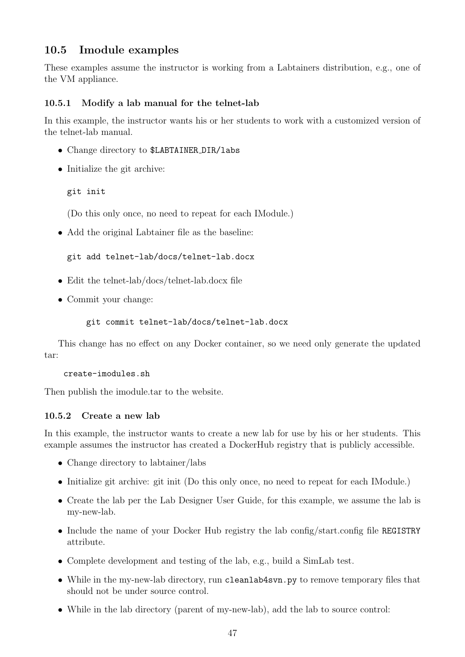# <span id="page-47-0"></span>10.5 Imodule examples

These examples assume the instructor is working from a Labtainers distribution, e.g., one of the VM appliance.

## <span id="page-47-1"></span>10.5.1 Modify a lab manual for the telnet-lab

In this example, the instructor wants his or her students to work with a customized version of the telnet-lab manual.

- Change directory to \$LABTAINER DIR/labs
- Initialize the git archive:

git init

(Do this only once, no need to repeat for each IModule.)

• Add the original Labtainer file as the baseline:

git add telnet-lab/docs/telnet-lab.docx

- Edit the telnet-lab/docs/telnet-lab.docx file
- Commit your change:

```
git commit telnet-lab/docs/telnet-lab.docx
```
This change has no effect on any Docker container, so we need only generate the updated tar:

```
create-imodules.sh
```
Then publish the imodule.tar to the website.

### <span id="page-47-2"></span>10.5.2 Create a new lab

In this example, the instructor wants to create a new lab for use by his or her students. This example assumes the instructor has created a DockerHub registry that is publicly accessible.

- Change directory to labtainer/labs
- Initialize git archive: git init (Do this only once, no need to repeat for each IModule.)
- Create the lab per the Lab Designer User Guide, for this example, we assume the lab is my-new-lab.
- Include the name of your Docker Hub registry the lab config/start.config file REGISTRY attribute.
- Complete development and testing of the lab, e.g., build a SimLab test.
- While in the my-new-lab directory, run cleanlab4svn.py to remove temporary files that should not be under source control.
- While in the lab directory (parent of my-new-lab), add the lab to source control: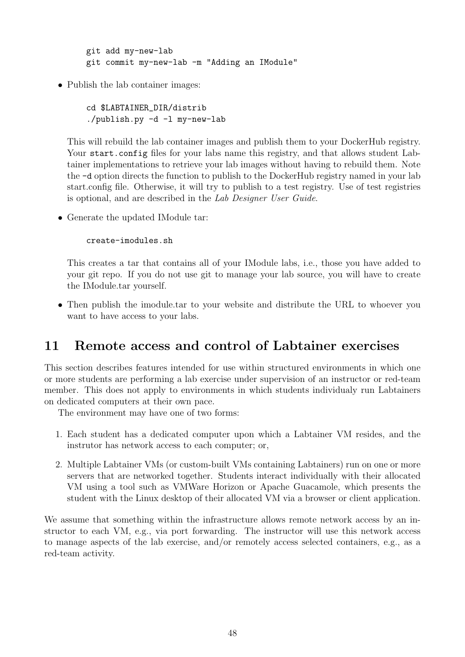git add my-new-lab git commit my-new-lab -m "Adding an IModule"

• Publish the lab container images:

cd \$LABTAINER\_DIR/distrib ./publish.py -d -l my-new-lab

This will rebuild the lab container images and publish them to your DockerHub registry. Your start.config files for your labs name this registry, and that allows student Labtainer implementations to retrieve your lab images without having to rebuild them. Note the -d option directs the function to publish to the DockerHub registry named in your lab start.config file. Otherwise, it will try to publish to a test registry. Use of test registries is optional, and are described in the Lab Designer User Guide.

• Generate the updated IModule tar:

create-imodules.sh

This creates a tar that contains all of your IModule labs, i.e., those you have added to your git repo. If you do not use git to manage your lab source, you will have to create the IModule.tar yourself.

• Then publish the imodule tar to your website and distribute the URL to whoever you want to have access to your labs.

# <span id="page-48-0"></span>11 Remote access and control of Labtainer exercises

This section describes features intended for use within structured environments in which one or more students are performing a lab exercise under supervision of an instructor or red-team member. This does not apply to environments in which students individualy run Labtainers on dedicated computers at their own pace.

The environment may have one of two forms:

- 1. Each student has a dedicated computer upon which a Labtainer VM resides, and the instrutor has network access to each computer; or,
- 2. Multiple Labtainer VMs (or custom-built VMs containing Labtainers) run on one or more servers that are networked together. Students interact individually with their allocated VM using a tool such as VMWare Horizon or Apache Guacamole, which presents the student with the Linux desktop of their allocated VM via a browser or client application.

We assume that something within the infrastructure allows remote network access by an instructor to each VM, e.g., via port forwarding. The instructor will use this network access to manage aspects of the lab exercise, and/or remotely access selected containers, e.g., as a red-team activity.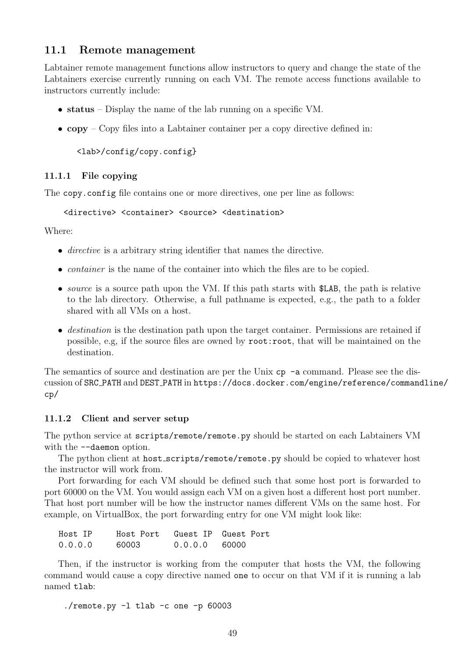## <span id="page-49-0"></span>11.1 Remote management

Labtainer remote management functions allow instructors to query and change the state of the Labtainers exercise currently running on each VM. The remote access functions available to instructors currently include:

- status Display the name of the lab running on a specific VM.
- $copy Copy$  files into a Labtainer container per a copy directive defined in:

<lab>/config/copy.config}

#### <span id="page-49-1"></span>11.1.1 File copying

The copy.config file contains one or more directives, one per line as follows:

<directive> <container> <source> <destination>

Where:

- *directive* is a arbitrary string identifier that names the directive.
- *container* is the name of the container into which the files are to be copied.
- source is a source path upon the VM. If this path starts with \$LAB, the path is relative to the lab directory. Otherwise, a full pathname is expected, e.g., the path to a folder shared with all VMs on a host.
- destination is the destination path upon the target container. Permissions are retained if possible, e.g, if the source files are owned by root:root, that will be maintained on the destination.

The semantics of source and destination are per the Unix  $cp -a$  command. Please see the discussion of SRC PATH and DEST PATH in [https://docs.docker.com/engine/reference/command](https://docs.docker.com/engine/reference/commandline/cp/)line/ [cp/](https://docs.docker.com/engine/reference/commandline/cp/)

#### <span id="page-49-2"></span>11.1.2 Client and server setup

The python service at scripts/remote/remote.py should be started on each Labtainers VM with the  $-$ -daemon option.

The python client at host\_scripts/remote/remote.py should be copied to whatever host the instructor will work from.

Port forwarding for each VM should be defined such that some host port is forwarded to port 60000 on the VM. You would assign each VM on a given host a different host port number. That host port number will be how the instructor names different VMs on the same host. For example, on VirtualBox, the port forwarding entry for one VM might look like:

| Host IP | Host Port Guest IP Guest Port |                 |  |
|---------|-------------------------------|-----------------|--|
| 0.0.0.0 | 60003                         | $0.0.0.0$ 60000 |  |

Then, if the instructor is working from the computer that hosts the VM, the following command would cause a copy directive named one to occur on that VM if it is running a lab named tlab:

./remote.py -l tlab -c one -p 60003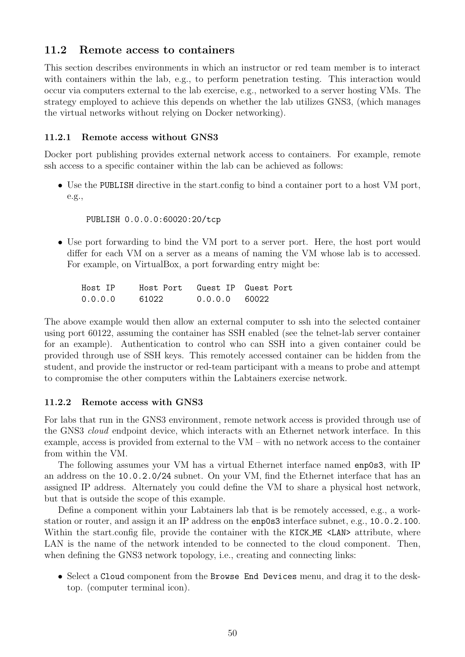## <span id="page-50-0"></span>11.2 Remote access to containers

This section describes environments in which an instructor or red team member is to interact with containers within the lab, e.g., to perform penetration testing. This interaction would occur via computers external to the lab exercise, e.g., networked to a server hosting VMs. The strategy employed to achieve this depends on whether the lab utilizes GNS3, (which manages the virtual networks without relying on Docker networking).

### <span id="page-50-1"></span>11.2.1 Remote access without GNS3

Docker port publishing provides external network access to containers. For example, remote ssh access to a specific container within the lab can be achieved as follows:

• Use the PUBLISH directive in the start.config to bind a container port to a host VM port, e.g.,

PUBLISH 0.0.0.0:60020:20/tcp

• Use port forwarding to bind the VM port to a server port. Here, the host port would differ for each VM on a server as a means of naming the VM whose lab is to accessed. For example, on VirtualBox, a port forwarding entry might be:

| Host IP | Host Port Guest IP Guest Port |                 |  |
|---------|-------------------------------|-----------------|--|
| 0.0.0.0 | 61022                         | $0.0.0.0$ 60022 |  |

The above example would then allow an external computer to ssh into the selected container using port 60122, assuming the container has SSH enabled (see the telnet-lab server container for an example). Authentication to control who can SSH into a given container could be provided through use of SSH keys. This remotely accessed container can be hidden from the student, and provide the instructor or red-team participant with a means to probe and attempt to compromise the other computers within the Labtainers exercise network.

#### <span id="page-50-2"></span>11.2.2 Remote access with GNS3

For labs that run in the GNS3 environment, remote network access is provided through use of the GNS3 cloud endpoint device, which interacts with an Ethernet network interface. In this example, access is provided from external to the VM – with no network access to the container from within the VM.

The following assumes your VM has a virtual Ethernet interface named enp0s3, with IP an address on the 10.0.2.0/24 subnet. On your VM, find the Ethernet interface that has an assigned IP address. Alternately you could define the VM to share a physical host network, but that is outside the scope of this example.

Define a component within your Labtainers lab that is be remotely accessed, e.g., a workstation or router, and assign it an IP address on the enp0s3 interface subnet, e.g., 10.0.2.100. Within the start.config file, provide the container with the KICK\_ME <LAN> attribute, where LAN is the name of the network intended to be connected to the cloud component. Then, when defining the GNS3 network topology, i.e., creating and connecting links:

• Select a Cloud component from the Browse End Devices menu, and drag it to the desktop. (computer terminal icon).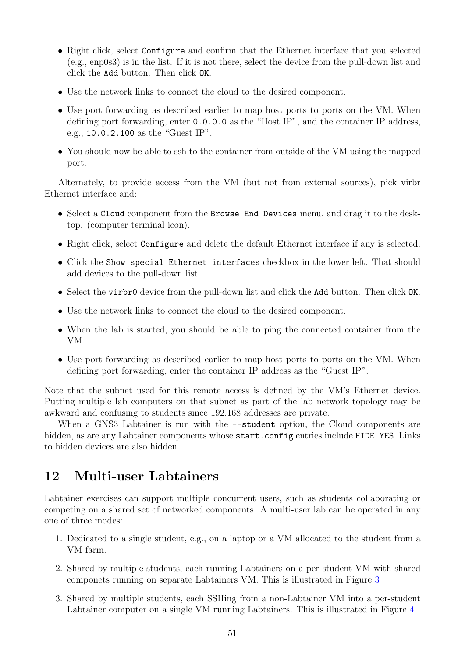- Right click, select Configure and confirm that the Ethernet interface that you selected (e.g., enp0s3) is in the list. If it is not there, select the device from the pull-down list and click the Add button. Then click OK.
- Use the network links to connect the cloud to the desired component.
- Use port forwarding as described earlier to map host ports to ports on the VM. When defining port forwarding, enter 0.0.0.0 as the "Host IP", and the container IP address, e.g., 10.0.2.100 as the "Guest IP".
- You should now be able to ssh to the container from outside of the VM using the mapped port.

Alternately, to provide access from the VM (but not from external sources), pick virbr Ethernet interface and:

- Select a Cloud component from the Browse End Devices menu, and drag it to the desktop. (computer terminal icon).
- Right click, select Configure and delete the default Ethernet interface if any is selected.
- Click the Show special Ethernet interfaces checkbox in the lower left. That should add devices to the pull-down list.
- Select the virbr0 device from the pull-down list and click the Add button. Then click OK.
- Use the network links to connect the cloud to the desired component.
- When the lab is started, you should be able to ping the connected container from the VM.
- Use port forwarding as described earlier to map host ports to ports on the VM. When defining port forwarding, enter the container IP address as the "Guest IP".

Note that the subnet used for this remote access is defined by the VM's Ethernet device. Putting multiple lab computers on that subnet as part of the lab network topology may be awkward and confusing to students since 192.168 addresses are private.

When a GNS3 Labtainer is run with the  $-$ -student option, the Cloud components are hidden, as are any Labtainer components whose start.config entries include HIDE YES. Links to hidden devices are also hidden.

# <span id="page-51-0"></span>12 Multi-user Labtainers

Labtainer exercises can support multiple concurrent users, such as students collaborating or competing on a shared set of networked components. A multi-user lab can be operated in any one of three modes:

- 1. Dedicated to a single student, e.g., on a laptop or a VM allocated to the student from a VM farm.
- 2. Shared by multiple students, each running Labtainers on a per-student VM with shared componets running on separate Labtainers VM. This is illustrated in Figure [3](#page-52-1)
- 3. Shared by multiple students, each SSHing from a non-Labtainer VM into a per-student Labtainer computer on a single VM running Labtainers. This is illustrated in Figure [4](#page-52-2)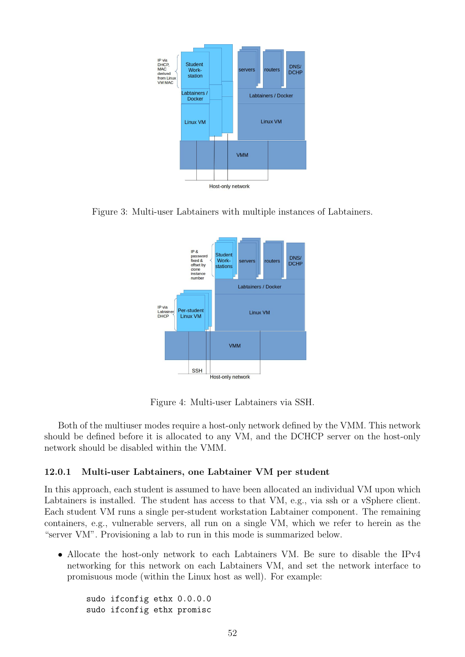

Figure 3: Multi-user Labtainers with multiple instances of Labtainers.

<span id="page-52-1"></span>

<span id="page-52-2"></span>Figure 4: Multi-user Labtainers via SSH.

Both of the multiuser modes require a host-only network defined by the VMM. This network should be defined before it is allocated to any VM, and the DCHCP server on the host-only network should be disabled within the VMM.

### <span id="page-52-0"></span>12.0.1 Multi-user Labtainers, one Labtainer VM per student

In this approach, each student is assumed to have been allocated an individual VM upon which Labtainers is installed. The student has access to that VM, e.g., via ssh or a vSphere client. Each student VM runs a single per-student workstation Labtainer component. The remaining containers, e.g., vulnerable servers, all run on a single VM, which we refer to herein as the "server VM". Provisioning a lab to run in this mode is summarized below.

• Allocate the host-only network to each Labtainers VM. Be sure to disable the IPv4 networking for this network on each Labtainers VM, and set the network interface to promisuous mode (within the Linux host as well). For example:

sudo ifconfig ethx 0.0.0.0 sudo ifconfig ethx promisc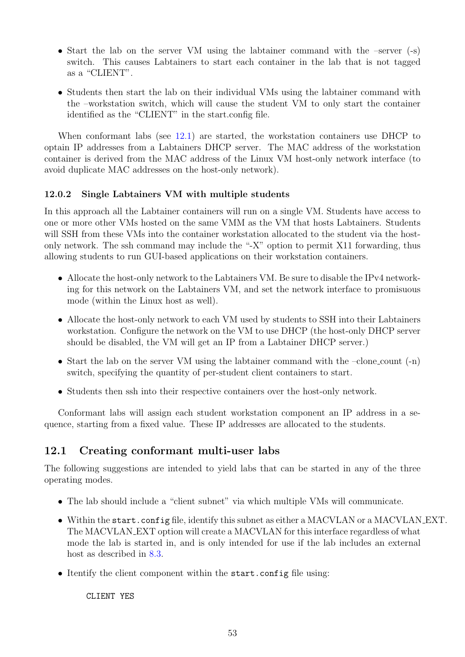- Start the lab on the server VM using the labtainer command with the –server  $(-s)$ switch. This causes Labtainers to start each container in the lab that is not tagged as a "CLIENT".
- Students then start the lab on their individual VMs using the labtainer command with the –workstation switch, which will cause the student VM to only start the container identified as the "CLIENT" in the start.config file.

When conformant labs (see [12.1\)](#page-53-1) are started, the workstation containers use DHCP to optain IP addresses from a Labtainers DHCP server. The MAC address of the workstation container is derived from the MAC address of the Linux VM host-only network interface (to avoid duplicate MAC addresses on the host-only network).

## <span id="page-53-0"></span>12.0.2 Single Labtainers VM with multiple students

In this approach all the Labtainer containers will run on a single VM. Students have access to one or more other VMs hosted on the same VMM as the VM that hosts Labtainers. Students will SSH from these VMs into the container workstation allocated to the student via the hostonly network. The ssh command may include the "-X" option to permit X11 forwarding, thus allowing students to run GUI-based applications on their workstation containers.

- Allocate the host-only network to the Labtainers VM. Be sure to disable the IPv4 networking for this network on the Labtainers VM, and set the network interface to promisuous mode (within the Linux host as well).
- Allocate the host-only network to each VM used by students to SSH into their Labtainers workstation. Configure the network on the VM to use DHCP (the host-only DHCP server should be disabled, the VM will get an IP from a Labtainer DHCP server.)
- Start the lab on the server VM using the labtainer command with the –clone count (-n) switch, specifying the quantity of per-student client containers to start.
- Students then ssh into their respective containers over the host-only network.

Conformant labs will assign each student workstation component an IP address in a sequence, starting from a fixed value. These IP addresses are allocated to the students.

## <span id="page-53-1"></span>12.1 Creating conformant multi-user labs

The following suggestions are intended to yield labs that can be started in any of the three operating modes.

- The lab should include a "client subnet" via which multiple VMs will communicate.
- Within the start.config file, identify this subnet as either a MACVLAN or a MACVLAN EXT. The MACVLAN EXT option will create a MACVLAN for this interface regardless of what mode the lab is started in, and is only intended for use if the lab includes an external host as described in [8.3.](#page-40-0)
- Itentify the client component within the start.config file using:

CLIENT YES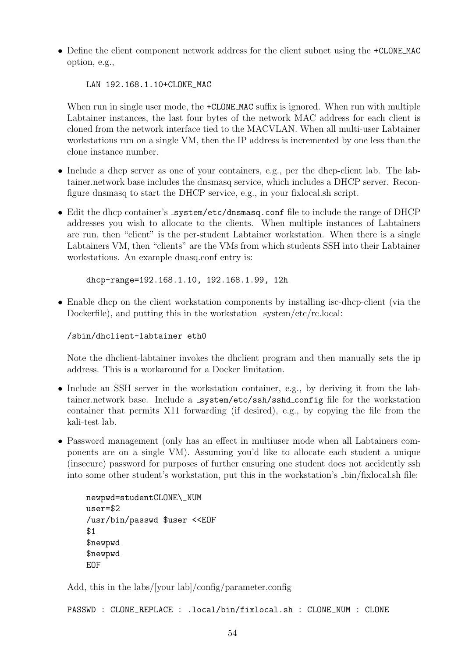• Define the client component network address for the client subnet using the  $\pm$ CLONE MAC option, e.g.,

LAN 192.168.1.10+CLONE\_MAC

When run in single user mode, the  $+CLONE_MAC$  suffix is ignored. When run with multiple Labtainer instances, the last four bytes of the network MAC address for each client is cloned from the network interface tied to the MACVLAN. When all multi-user Labtainer workstations run on a single VM, then the IP address is incremented by one less than the clone instance number.

- Include a dhcp server as one of your containers, e.g., per the dhcp-client lab. The labtainer.network base includes the dnsmasq service, which includes a DHCP server. Reconfigure dnsmasq to start the DHCP service, e.g., in your fixlocal.sh script.
- Edit the dhcp container's \_system/etc/dnsmasq.conf file to include the range of DHCP addresses you wish to allocate to the clients. When multiple instances of Labtainers are run, then "client" is the per-student Labtainer workstation. When there is a single Labtainers VM, then "clients" are the VMs from which students SSH into their Labtainer workstations. An example dnasq.conf entry is:

dhcp-range=192.168.1.10, 192.168.1.99, 12h

• Enable dhcp on the client workstation components by installing isc-dhcp-client (via the Dockerfile), and putting this in the workstation system/etc/rc.local:

/sbin/dhclient-labtainer eth0

Note the dhclient-labtainer invokes the dhclient program and then manually sets the ip address. This is a workaround for a Docker limitation.

- Include an SSH server in the workstation container, e.g., by deriving it from the labtainer.network base. Include a system/etc/ssh/sshd\_config file for the workstation container that permits X11 forwarding (if desired), e.g., by copying the file from the kali-test lab.
- Password management (only has an effect in multiuser mode when all Labtainers components are on a single VM). Assuming you'd like to allocate each student a unique (insecure) password for purposes of further ensuring one student does not accidently ssh into some other student's workstation, put this in the workstation's bin/fixlocal.sh file:

```
newpwd=studentCLONE\_NUM
user=$2
/usr/bin/passwd $user <<EOF
$1
$newpwd
$newpwd
EOF
```
Add, this in the labs/[your lab]/config/parameter.config

PASSWD : CLONE\_REPLACE : .local/bin/fixlocal.sh : CLONE\_NUM : CLONE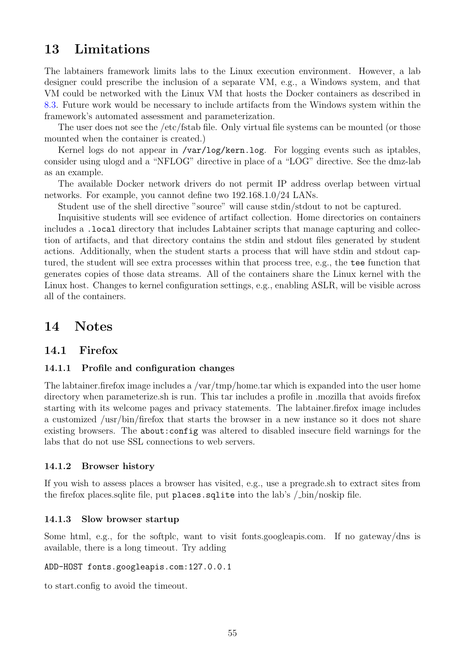# <span id="page-55-0"></span>13 Limitations

The labtainers framework limits labs to the Linux execution environment. However, a lab designer could prescribe the inclusion of a separate VM, e.g., a Windows system, and that VM could be networked with the Linux VM that hosts the Docker containers as described in [8.3.](#page-40-0) Future work would be necessary to include artifacts from the Windows system within the framework's automated assessment and parameterization.

The user does not see the /etc/fstab file. Only virtual file systems can be mounted (or those mounted when the container is created.)

Kernel logs do not appear in /var/log/kern.log. For logging events such as iptables, consider using ulogd and a "NFLOG" directive in place of a "LOG" directive. See the dmz-lab as an example.

The available Docker network drivers do not permit IP address overlap between virtual networks. For example, you cannot define two 192.168.1.0/24 LANs.

Student use of the shell directive "source" will cause stdin/stdout to not be captured.

Inquisitive students will see evidence of artifact collection. Home directories on containers includes a .local directory that includes Labtainer scripts that manage capturing and collection of artifacts, and that directory contains the stdin and stdout files generated by student actions. Additionally, when the student starts a process that will have stdin and stdout captured, the student will see extra processes within that process tree, e.g., the tee function that generates copies of those data streams. All of the containers share the Linux kernel with the Linux host. Changes to kernel configuration settings, e.g., enabling ASLR, will be visible across all of the containers.

# <span id="page-55-1"></span>14 Notes

## <span id="page-55-2"></span>14.1 Firefox

#### <span id="page-55-3"></span>14.1.1 Profile and configuration changes

The labtainer.firefox image includes a /var/tmp/home.tar which is expanded into the user home directory when parameterize.sh is run. This tar includes a profile in .mozilla that avoids firefox starting with its welcome pages and privacy statements. The labtainer.firefox image includes a customized /usr/bin/firefox that starts the browser in a new instance so it does not share existing browsers. The about:config was altered to disabled insecure field warnings for the labs that do not use SSL connections to web servers.

#### <span id="page-55-4"></span>14.1.2 Browser history

If you wish to assess places a browser has visited, e.g., use a pregrade.sh to extract sites from the firefox places.sqlite file, put places.sqlite into the lab's / bin/noskip file.

#### <span id="page-55-5"></span>14.1.3 Slow browser startup

Some html, e.g., for the softplc, want to visit fonts.googleapis.com. If no gateway/dns is available, there is a long timeout. Try adding

#### ADD-HOST fonts.googleapis.com:127.0.0.1

to start.config to avoid the timeout.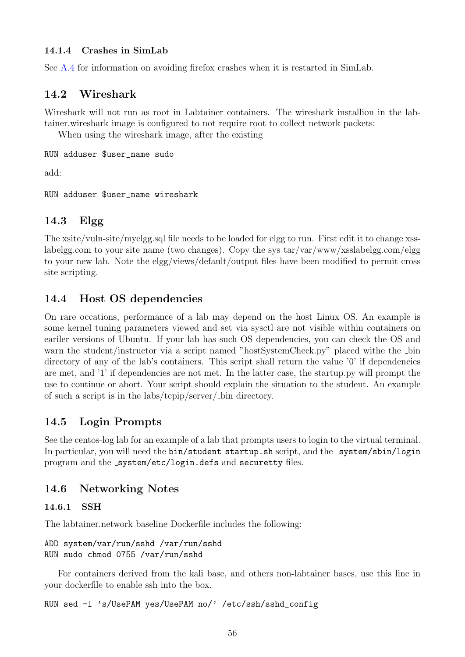## <span id="page-56-0"></span>14.1.4 Crashes in SimLab

See [A.4](#page-62-0) for information on avoiding firefox crashes when it is restarted in SimLab.

# <span id="page-56-1"></span>14.2 Wireshark

Wireshark will not run as root in Labtainer containers. The wireshark installion in the labtainer.wireshark image is configured to not require root to collect network packets:

When using the wireshark image, after the existing

```
RUN adduser $user_name sudo
```
add:

RUN adduser \$user\_name wireshark

# <span id="page-56-2"></span>14.3 Elgg

The xsite/vuln-site/myelgg.sql file needs to be loaded for elgg to run. First edit it to change xsslabelgg.com to your site name (two changes). Copy the sys\_tar/var/www/xsslabelgg.com/elgg to your new lab. Note the elgg/views/default/output files have been modified to permit cross site scripting.

# <span id="page-56-3"></span>14.4 Host OS dependencies

On rare occations, performance of a lab may depend on the host Linux OS. An example is some kernel tuning parameters viewed and set via sysctl are not visible within containers on eariler versions of Ubuntu. If your lab has such OS dependencies, you can check the OS and warn the student/instructor via a script named "hostSystemCheck.py" placed withe the Lin directory of any of the lab's containers. This script shall return the value '0' if dependencies are met, and '1' if dependencies are not met. In the latter case, the startup.py will prompt the use to continue or abort. Your script should explain the situation to the student. An example of such a script is in the labs/tcpip/server/ bin directory.

# <span id="page-56-4"></span>14.5 Login Prompts

See the centos-log lab for an example of a lab that prompts users to login to the virtual terminal. In particular, you will need the bin/student\_startup.sh script, and the \_system/sbin/login program and the \_system/etc/login.defs and securetty files.

# <span id="page-56-5"></span>14.6 Networking Notes

## <span id="page-56-6"></span>14.6.1 SSH

The labtainer.network baseline Dockerfile includes the following:

```
ADD system/var/run/sshd /var/run/sshd
RUN sudo chmod 0755 /var/run/sshd
```
For containers derived from the kali base, and others non-labtainer bases, use this line in your dockerfile to enable ssh into the box.

RUN sed -i 's/UsePAM yes/UsePAM no/' /etc/ssh/sshd\_config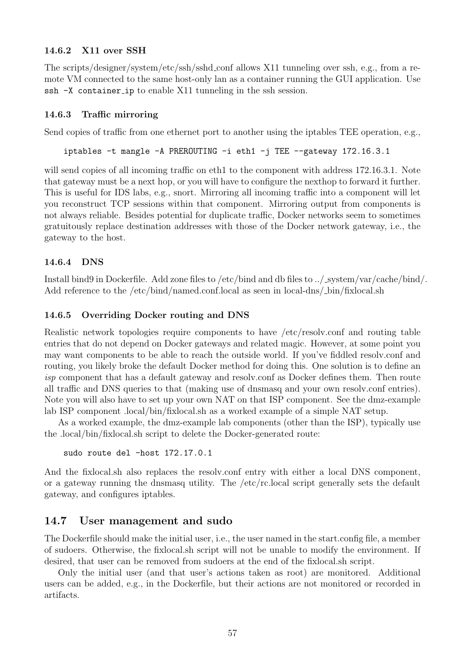### <span id="page-57-0"></span>14.6.2 X11 over SSH

The scripts/designer/system/etc/ssh/sshd conf allows X11 tunneling over ssh, e.g., from a remote VM connected to the same host-only lan as a container running the GUI application. Use ssh -X container ip to enable X11 tunneling in the ssh session.

### <span id="page-57-1"></span>14.6.3 Traffic mirroring

Send copies of traffic from one ethernet port to another using the iptables TEE operation, e.g.,

```
iptables -t mangle -A PREROUTING -i eth1 -j TEE --gateway 172.16.3.1
```
will send copies of all incoming traffic on eth1 to the component with address 172.16.3.1. Note that gateway must be a next hop, or you will have to configure the nexthop to forward it further. This is useful for IDS labs, e.g., snort. Mirroring all incoming traffic into a component will let you reconstruct TCP sessions within that component. Mirroring output from components is not always reliable. Besides potential for duplicate traffic, Docker networks seem to sometimes gratuitously replace destination addresses with those of the Docker network gateway, i.e., the gateway to the host.

### <span id="page-57-2"></span>14.6.4 DNS

Install bind9 in Dockerfile. Add zone files to /etc/bind and db files to ../ system/var/cache/bind/. Add reference to the /etc/bind/named.conf.local as seen in local-dns/ $\Delta$ bin/fixlocal.sh

#### <span id="page-57-3"></span>14.6.5 Overriding Docker routing and DNS

Realistic network topologies require components to have /etc/resolv.conf and routing table entries that do not depend on Docker gateways and related magic. However, at some point you may want components to be able to reach the outside world. If you've fiddled resolv.conf and routing, you likely broke the default Docker method for doing this. One solution is to define an isp component that has a default gateway and resolv.conf as Docker defines them. Then route all traffic and DNS queries to that (making use of dnsmasq and your own resolv.conf entries). Note you will also have to set up your own NAT on that ISP component. See the dmz-example lab ISP component .local/bin/fixlocal.sh as a worked example of a simple NAT setup.

As a worked example, the dmz-example lab components (other than the ISP), typically use the .local/bin/fixlocal.sh script to delete the Docker-generated route:

```
sudo route del -host 172.17.0.1
```
And the fixlocal.sh also replaces the resolv.conf entry with either a local DNS component, or a gateway running the dnsmasq utility. The /etc/rc.local script generally sets the default gateway, and configures iptables.

### <span id="page-57-4"></span>14.7 User management and sudo

The Dockerfile should make the initial user, i.e., the user named in the start.config file, a member of sudoers. Otherwise, the fixlocal.sh script will not be unable to modify the environment. If desired, that user can be removed from sudoers at the end of the fixlocal.sh script.

Only the initial user (and that user's actions taken as root) are monitored. Additional users can be added, e.g., in the Dockerfile, but their actions are not monitored or recorded in artifacts.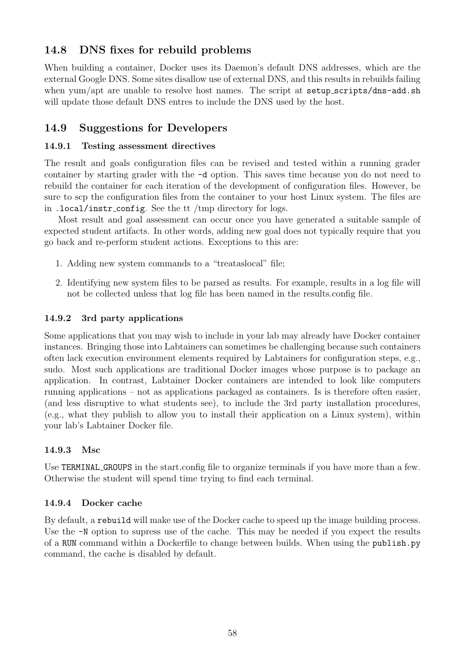# <span id="page-58-0"></span>14.8 DNS fixes for rebuild problems

When building a container, Docker uses its Daemon's default DNS addresses, which are the external Google DNS. Some sites disallow use of external DNS, and this results in rebuilds failing when yum/apt are unable to resolve host names. The script at setup\_scripts/dns-add.sh will update those default DNS entres to include the DNS used by the host.

# <span id="page-58-1"></span>14.9 Suggestions for Developers

## <span id="page-58-2"></span>14.9.1 Testing assessment directives

The result and goals configuration files can be revised and tested within a running grader container by starting grader with the -d option. This saves time because you do not need to rebuild the container for each iteration of the development of configuration files. However, be sure to scp the configuration files from the container to your host Linux system. The files are in .local/instr config. See the tt /tmp directory for logs.

Most result and goal assessment can occur once you have generated a suitable sample of expected student artifacts. In other words, adding new goal does not typically require that you go back and re-perform student actions. Exceptions to this are:

- 1. Adding new system commands to a "treataslocal" file;
- 2. Identifying new system files to be parsed as results. For example, results in a log file will not be collected unless that log file has been named in the results.config file.

## <span id="page-58-3"></span>14.9.2 3rd party applications

Some applications that you may wish to include in your lab may already have Docker container instances. Bringing those into Labtainers can sometimes be challenging because such containers often lack execution environment elements required by Labtainers for configuration steps, e.g., sudo. Most such applications are traditional Docker images whose purpose is to package an application. In contrast, Labtainer Docker containers are intended to look like computers running applications – not as applications packaged as containers. Is is therefore often easier, (and less disruptive to what students see), to include the 3rd party installation procedures, (e.g., what they publish to allow you to install their application on a Linux system), within your lab's Labtainer Docker file.

### <span id="page-58-4"></span>14.9.3 Msc

Use TERMINAL GROUPS in the start.config file to organize terminals if you have more than a few. Otherwise the student will spend time trying to find each terminal.

### <span id="page-58-5"></span>14.9.4 Docker cache

By default, a rebuild will make use of the Docker cache to speed up the image building process. Use the  $-N$  option to supress use of the cache. This may be needed if you expect the results of a RUN command within a Dockerfile to change between builds. When using the publish.py command, the cache is disabled by default.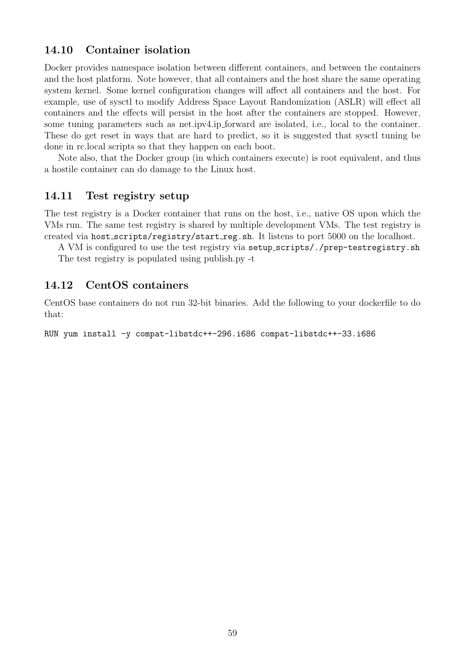## <span id="page-59-0"></span>14.10 Container isolation

Docker provides namespace isolation between different containers, and between the containers and the host platform. Note however, that all containers and the host share the same operating system kernel. Some kernel configuration changes will affect all containers and the host. For example, use of sysctl to modify Address Space Layout Randomization (ASLR) will effect all containers and the effects will persist in the host after the containers are stopped. However, some tuning parameters such as net.ipv4.ip forward are isolated, i.e., local to the container. These do get reset in ways that are hard to predict, so it is suggested that sysctl tuning be done in rc.local scripts so that they happen on each boot.

Note also, that the Docker group (in which containers execute) is root equivalent, and thus a hostile container can do damage to the Linux host.

### <span id="page-59-1"></span>14.11 Test registry setup

The test registry is a Docker container that runs on the host, i.e., native OS upon which the VMs run. The same test registry is shared by multiple development VMs. The test registry is created via host scripts/registry/start reg.sh. It listens to port 5000 on the localhost.

A VM is configured to use the test registry via setup scripts/./prep-testregistry.sh The test registry is populated using publish.py -t

## <span id="page-59-2"></span>14.12 CentOS containers

CentOS base containers do not run 32-bit binaries. Add the following to your dockerfile to do that:

RUN yum install -y compat-libstdc++-296.i686 compat-libstdc++-33.i686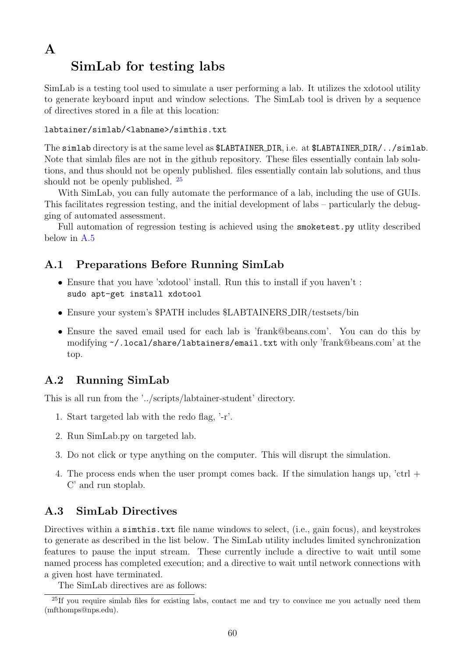# <span id="page-60-0"></span>A SimLab for testing labs

SimLab is a testing tool used to simulate a user performing a lab. It utilizes the xdotool utility to generate keyboard input and window selections. The SimLab tool is driven by a sequence of directives stored in a file at this location:

## labtainer/simlab/<labname>/simthis.txt

The simlab directory is at the same level as \$LABTAINER DIR, i.e. at \$LABTAINER DIR/../simlab. Note that simlab files are not in the github repository. These files essentially contain lab solutions, and thus should not be openly published. files essentially contain lab solutions, and thus should not be openly published. [25](#page-60-4)

With SimLab, you can fully automate the performance of a lab, including the use of GUIs. This facilitates regression testing, and the initial development of labs – particularly the debugging of automated assessment.

Full automation of regression testing is achieved using the smoketest.py utlity described below in [A.5](#page-62-1)

# <span id="page-60-1"></span>A.1 Preparations Before Running SimLab

- Ensure that you have 'xdotool' install. Run this to install if you haven't : sudo apt-get install xdotool
- Ensure your system's \$PATH includes \$LABTAINERS\_DIR/testsets/bin
- Ensure the saved email used for each lab is 'frank@beans.com'. You can do this by modifying [~/](~).local/share/labtainers/email.txt with only 'frank@beans.com' at the top.

# <span id="page-60-2"></span>A.2 Running SimLab

This is all run from the '../scripts/labtainer-student' directory.

- 1. Start targeted lab with the redo flag, '-r'.
- 2. Run SimLab.py on targeted lab.
- 3. Do not click or type anything on the computer. This will disrupt the simulation.
- 4. The process ends when the user prompt comes back. If the simulation hangs up, 'ctrl + C' and run stoplab.

# <span id="page-60-3"></span>A.3 SimLab Directives

Directives within a similarities.txt file name windows to select, (i.e., gain focus), and keystrokes to generate as described in the list below. The SimLab utility includes limited synchronization features to pause the input stream. These currently include a directive to wait until some named process has completed execution; and a directive to wait until network connections with a given host have terminated.

<span id="page-60-4"></span>The SimLab directives are as follows:

<sup>&</sup>lt;sup>25</sup>If you require simlab files for existing labs, contact me and try to convince me you actually need them (mfthomps@nps.edu).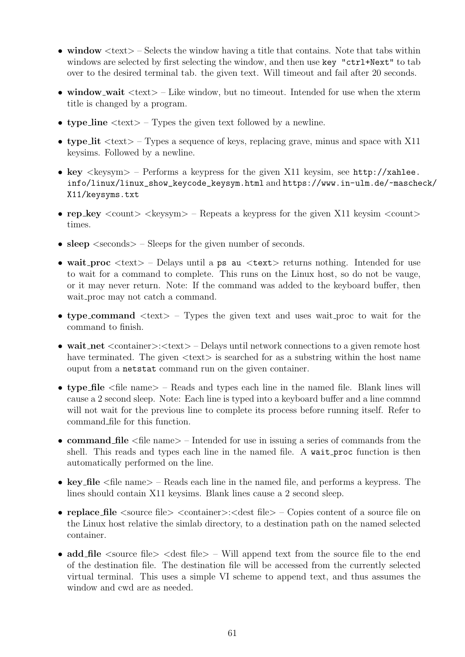- window  $\langle \text{text} \rangle$  Selects the window having a title that contains. Note that tabs within windows are selected by first selecting the window, and then use key "ctrl+Next" to tab over to the desired terminal tab. the given text. Will timeout and fail after 20 seconds.
- window\_wait  $\langle \text{text} \rangle$  Like window, but no timeout. Intended for use when the xterm title is changed by a program.
- type\_line  $\langle \text{text} \rangle$  Types the given text followed by a newline.
- type lit  $\langle \text{text} \rangle$  Types a sequence of keys, replacing grave, minus and space with X11 keysims. Followed by a newline.
- key  $\langle$ keysym $\rangle$  Performs a keypress for the given X11 keysim, see [http://xahlee.](http://xahlee.info/linux/linux_show_keycode_keysym.html) [info/linux/linux\\_show\\_keycode\\_keysym.html](http://xahlee.info/linux/linux_show_keycode_keysym.html) and [https://www.in-ulm.de/~masche](https://www.in-ulm.de/~mascheck/X11/keysyms.txt)ck/ [X11/keysyms.txt](https://www.in-ulm.de/~mascheck/X11/keysyms.txt)
- rep key  $\langle$  count $\rangle$   $\langle$  keysym $\rangle$  Repeats a keypress for the given X11 keysim  $\langle$  count $\rangle$ times.
- sleep  $\le$  seconds  $>$  Sleeps for the given number of seconds.
- wait\_proc  $\langle \text{text} \rangle$  Delays until a ps au  $\langle \text{text} \rangle$  returns nothing. Intended for use to wait for a command to complete. This runs on the Linux host, so do not be vauge, or it may never return. Note: If the command was added to the keyboard buffer, then wait proc may not catch a command.
- type\_command  $\langle \text{text} \rangle$  Types the given text and uses wait\_proc to wait for the command to finish.
- wait\_net <container>:<text> Delays until network connections to a given remote host have terminated. The given  $\langle \text{text} \rangle$  is searched for as a substring within the host name ouput from a netstat command run on the given container.
- type file  $\langle$  file name  $\rangle$  Reads and types each line in the named file. Blank lines will cause a 2 second sleep. Note: Each line is typed into a keyboard buffer and a line commnd will not wait for the previous line to complete its process before running itself. Refer to command file for this function.
- command file  $\leq$  file name  $>$  Intended for use in issuing a series of commands from the shell. This reads and types each line in the named file. A wait proc function is then automatically performed on the line.
- key file <file name> Reads each line in the named file, and performs a keypress. The lines should contain X11 keysims. Blank lines cause a 2 second sleep.
- replace file  $\leq$  source file  $\geq$   $\leq$  container  $\geq$  :  $\leq$  dest file  $\geq$   $\geq$  Copies content of a source file on the Linux host relative the simlab directory, to a destination path on the named selected container.
- add file  $\leq$  source file  $\geq$   $\leq$  dest file  $\geq$  Will append text from the source file to the end of the destination file. The destination file will be accessed from the currently selected virtual terminal. This uses a simple VI scheme to append text, and thus assumes the window and cwd are as needed.